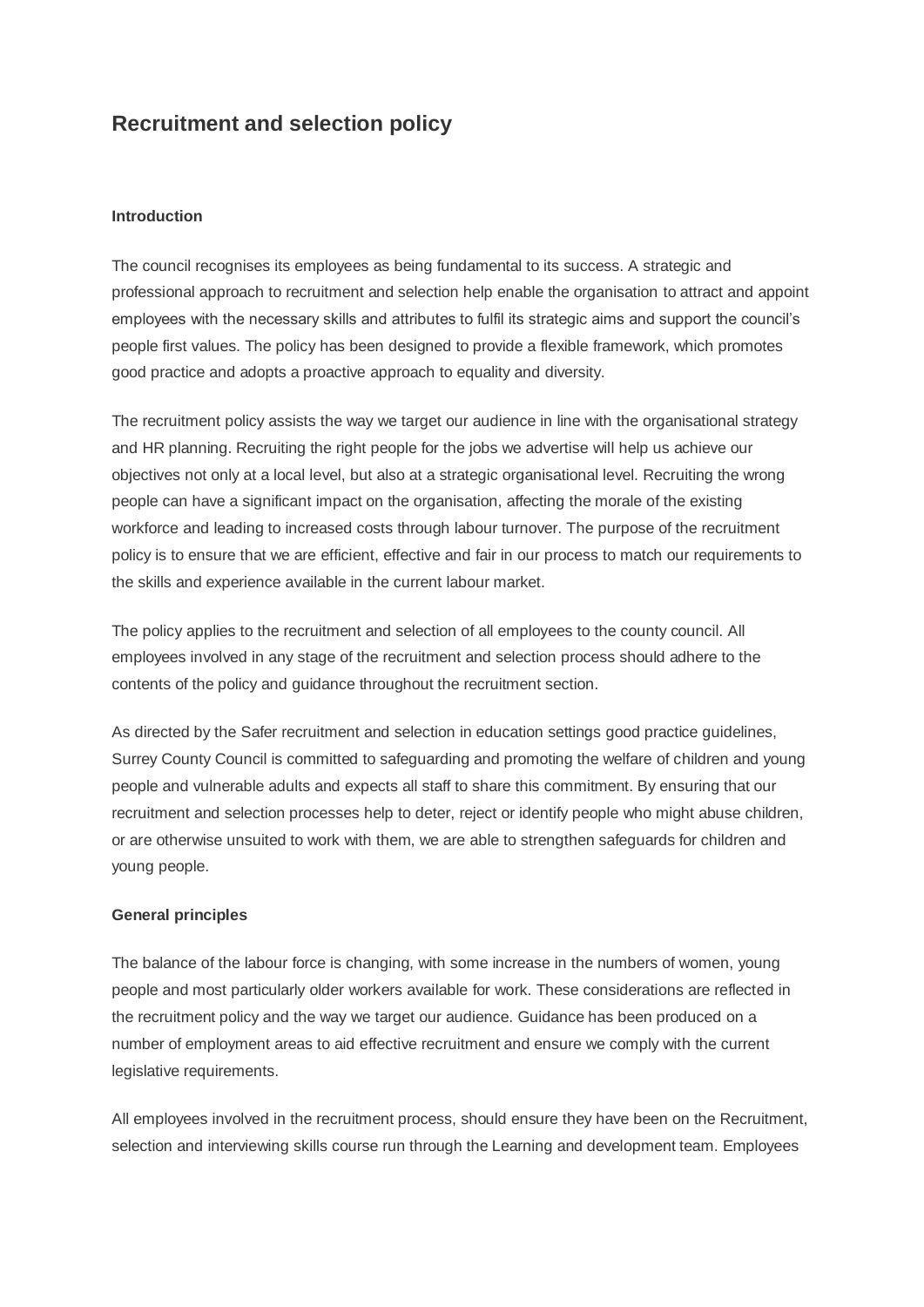## **Recruitment and selection policy**

#### **Introduction**

The council recognises its employees as being fundamental to its success. A strategic and professional approach to recruitment and selection help enable the organisation to attract and appoint employees with the necessary skills and attributes to fulfil its strategic aims and support the council"s people first values. The policy has been designed to provide a flexible framework, which promotes good practice and adopts a proactive approach to equality and diversity.

The recruitment policy assists the way we target our audience in line with the organisational strategy and HR planning. Recruiting the right people for the jobs we advertise will help us achieve our objectives not only at a local level, but also at a strategic organisational level. Recruiting the wrong people can have a significant impact on the organisation, affecting the morale of the existing workforce and leading to increased costs through labour turnover. The purpose of the recruitment policy is to ensure that we are efficient, effective and fair in our process to match our requirements to the skills and experience available in the current labour market.

The policy applies to the recruitment and selection of all employees to the county council. All employees involved in any stage of the recruitment and selection process should adhere to the contents of the policy and guidance throughout the recruitment section.

As directed by the Safer recruitment and selection in education settings good practice guidelines, Surrey County Council is committed to safeguarding and promoting the welfare of children and young people and vulnerable adults and expects all staff to share this commitment. By ensuring that our recruitment and selection processes help to deter, reject or identify people who might abuse children, or are otherwise unsuited to work with them, we are able to strengthen safeguards for children and young people.

#### **General principles**

The balance of the labour force is changing, with some increase in the numbers of women, young people and most particularly older workers available for work. These considerations are reflected in the recruitment policy and the way we target our audience. Guidance has been produced on a number of employment areas to aid effective recruitment and ensure we comply with the current legislative requirements.

All employees involved in the recruitment process, should ensure they have been on the Recruitment, selection and interviewing skills course run through the Learning and development team. Employees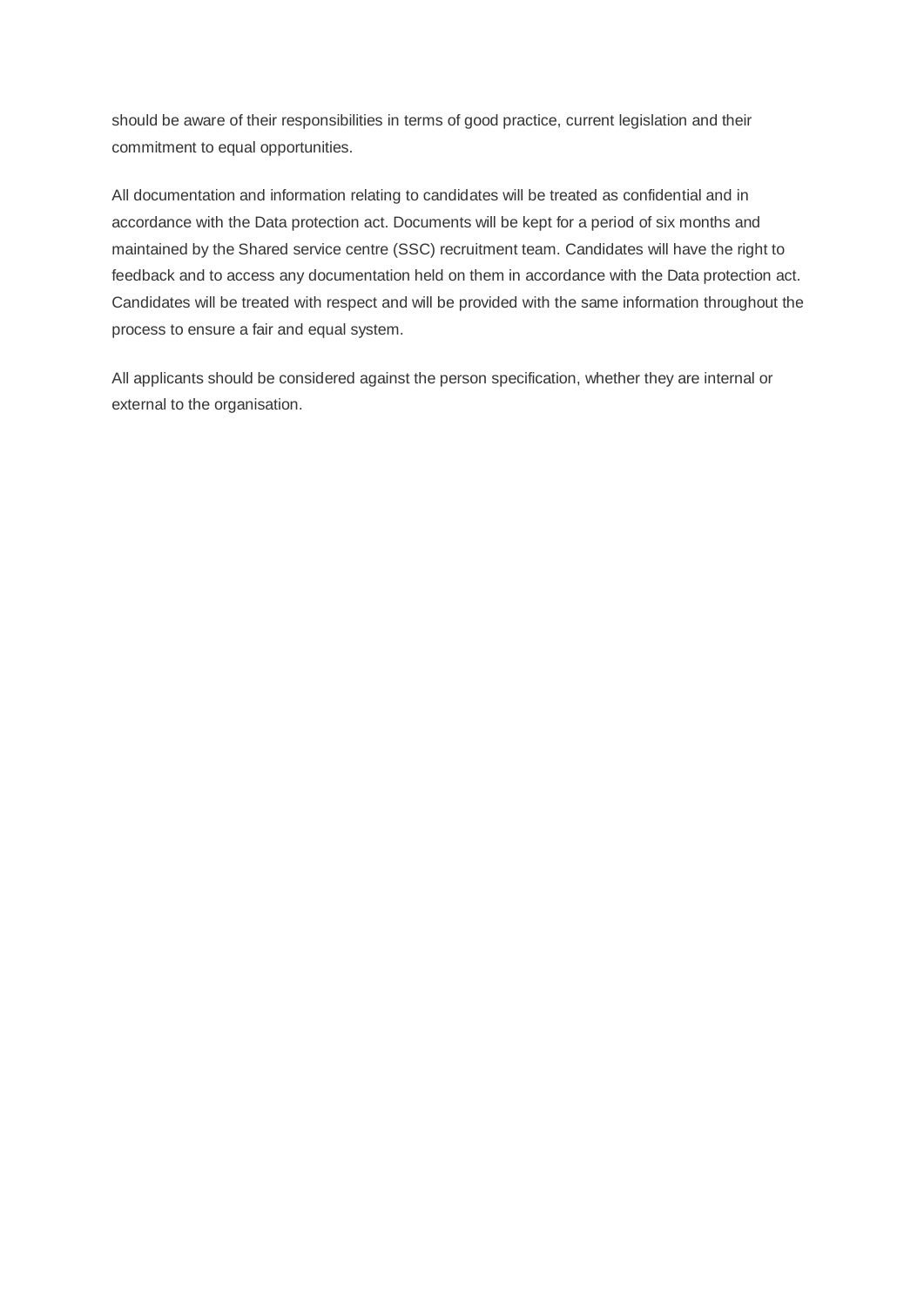should be aware of their responsibilities in terms of good practice, current legislation and their commitment to equal opportunities.

All documentation and information relating to candidates will be treated as confidential and in accordance with the Data protection act. Documents will be kept for a period of six months and maintained by the Shared service centre (SSC) recruitment team. Candidates will have the right to feedback and to access any documentation held on them in accordance with the Data protection act. Candidates will be treated with respect and will be provided with the same information throughout the process to ensure a fair and equal system.

All applicants should be considered against the person specification, whether they are internal or external to the organisation.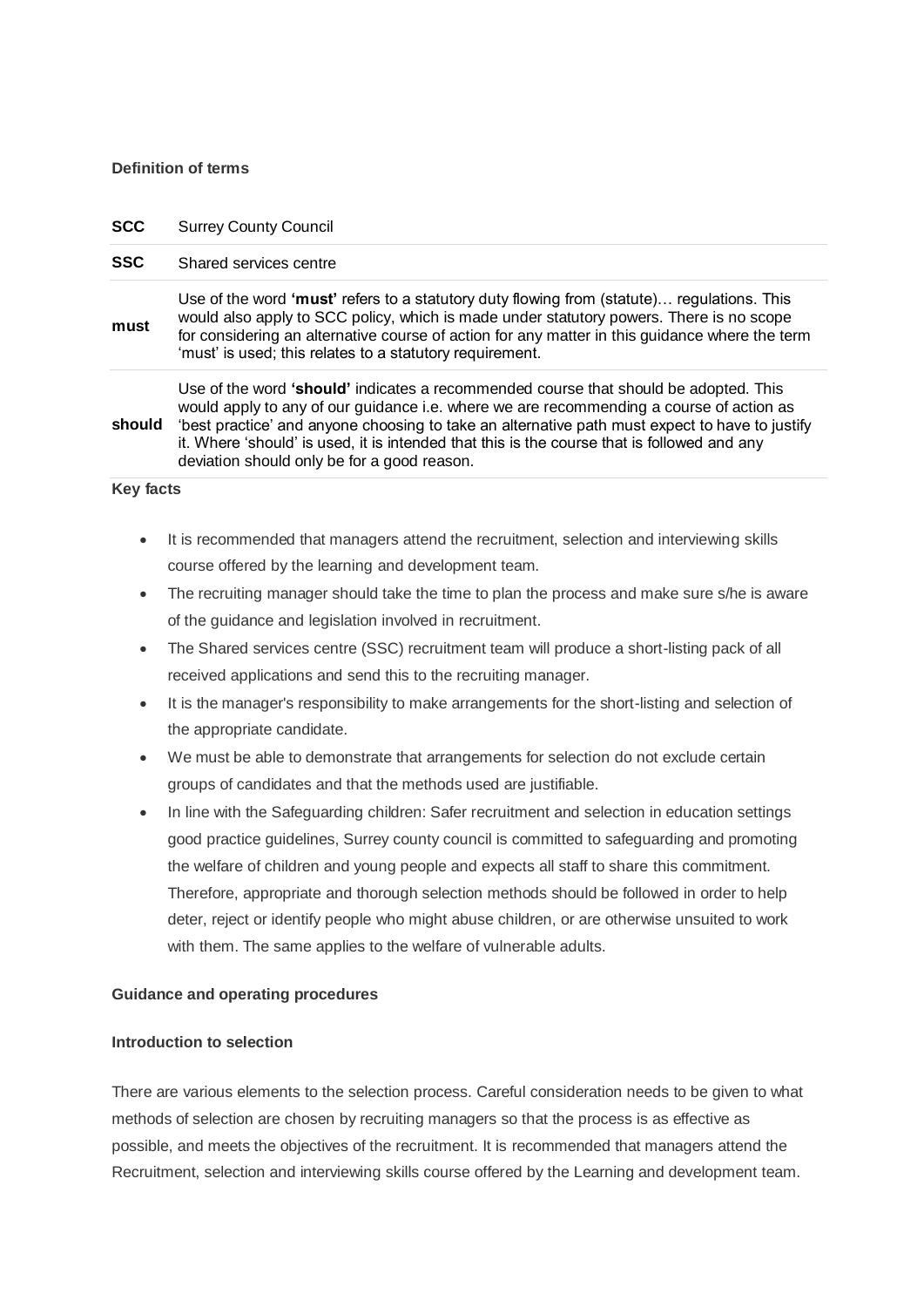#### **Definition of terms**

#### **SCC** Surrey County Council

#### **SSC** Shared services centre

**must** Use of the word **'must'** refers to a statutory duty flowing from (statute)… regulations. This would also apply to SCC policy, which is made under statutory powers. There is no scope for considering an alternative course of action for any matter in this guidance where the term 'must' is used; this relates to a statutory requirement.

should 'best practice' and anyone choosing to take an alternative path must expect to have to justify Use of the word **'should'** indicates a recommended course that should be adopted. This would apply to any of our guidance i.e. where we are recommending a course of action as it. Where "should" is used, it is intended that this is the course that is followed and any deviation should only be for a good reason.

#### **Key facts**

- It is recommended that managers attend the recruitment, selection and interviewing skills course offered by the learning and development team.
- The recruiting manager should take the time to plan the process and make sure s/he is aware of the guidance and legislation involved in recruitment.
- The Shared services centre (SSC) recruitment team will produce a short-listing pack of all received applications and send this to the recruiting manager.
- It is the manager's responsibility to make arrangements for the short-listing and selection of the appropriate candidate.
- We must be able to demonstrate that arrangements for selection do not exclude certain groups of candidates and that the methods used are justifiable.
- In line with the Safeguarding children: Safer recruitment and selection in education settings good practice guidelines, Surrey county council is committed to safeguarding and promoting the welfare of children and young people and expects all staff to share this commitment. Therefore, appropriate and thorough selection methods should be followed in order to help deter, reject or identify people who might abuse children, or are otherwise unsuited to work with them. The same applies to the welfare of vulnerable adults.

#### **Guidance and operating procedures**

#### **Introduction to selection**

There are various elements to the selection process. Careful consideration needs to be given to what methods of selection are chosen by recruiting managers so that the process is as effective as possible, and meets the objectives of the recruitment. It is recommended that managers attend the Recruitment, selection and interviewing skills course offered by the Learning and development team.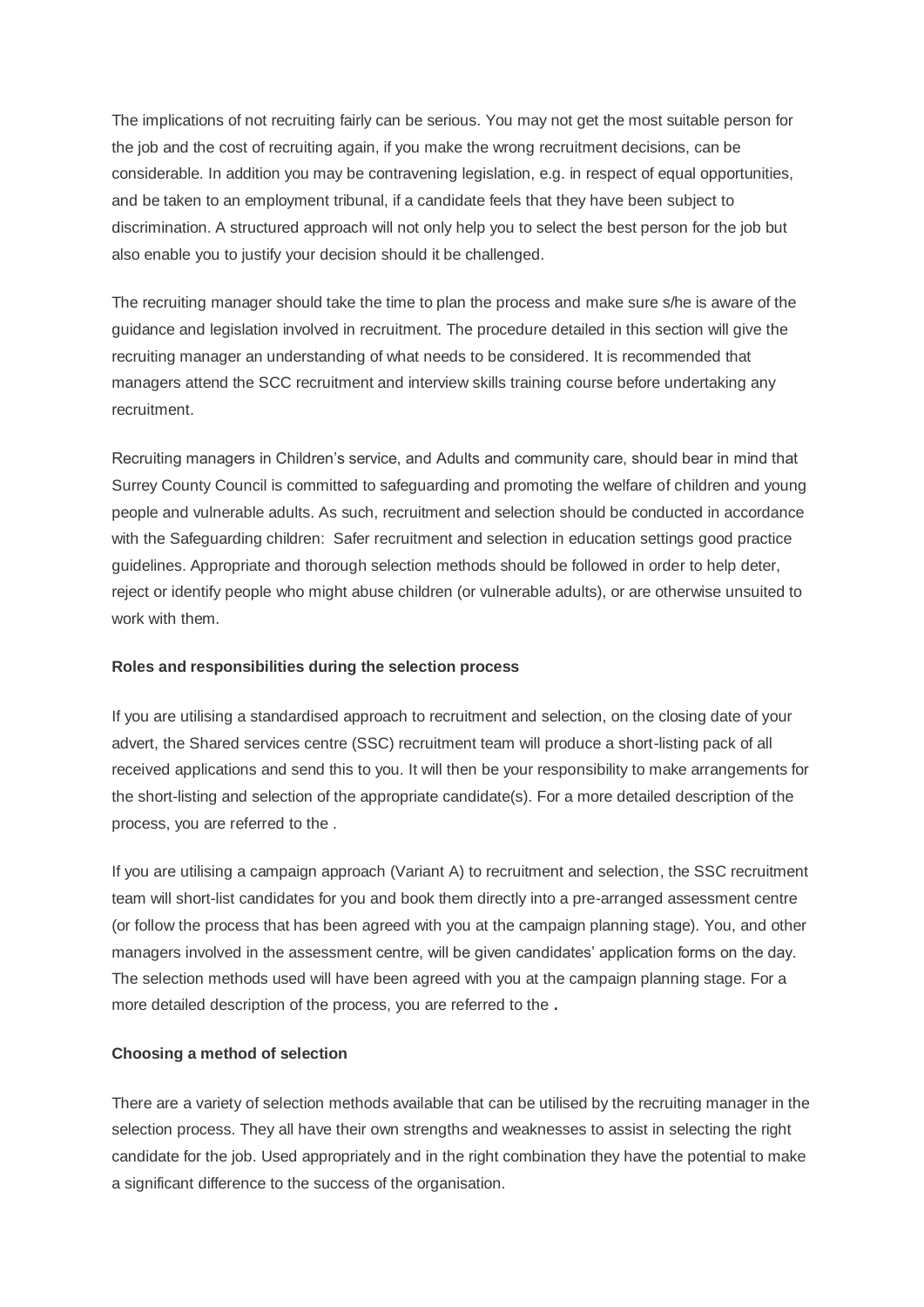The implications of not recruiting fairly can be serious. You may not get the most suitable person for the job and the cost of recruiting again, if you make the wrong recruitment decisions, can be considerable. In addition you may be contravening legislation, e.g. in respect of equal opportunities, and be taken to an employment tribunal, if a candidate feels that they have been subject to discrimination. A structured approach will not only help you to select the best person for the job but also enable you to justify your decision should it be challenged.

The recruiting manager should take the time to plan the process and make sure s/he is aware of the guidance and legislation involved in recruitment. The procedure detailed in this section will give the recruiting manager an understanding of what needs to be considered. It is recommended that managers attend the SCC recruitment and interview skills training course before undertaking any recruitment.

Recruiting managers in Children"s service, and Adults and community care, should bear in mind that Surrey County Council is committed to safeguarding and promoting the welfare of children and young people and vulnerable adults. As such, recruitment and selection should be conducted in accordance with the Safeguarding children: Safer recruitment and selection in education settings good practice guidelines. Appropriate and thorough selection methods should be followed in order to help deter, reject or identify people who might abuse children (or vulnerable adults), or are otherwise unsuited to work with them.

#### **Roles and responsibilities during the selection process**

If you are utilising a standardised approach to recruitment and selection, on the closing date of your advert, the Shared services centre (SSC) recruitment team will produce a short-listing pack of all received applications and send this to you. It will then be your responsibility to make arrangements for the short-listing and selection of the appropriate candidate(s). For a more detailed description of the process, you are referred to the .

If you are utilising a campaign approach (Variant A) to recruitment and selection, the SSC recruitment team will short-list candidates for you and book them directly into a pre-arranged assessment centre (or follow the process that has been agreed with you at the campaign planning stage). You, and other managers involved in the assessment centre, will be given candidates" application forms on the day. The selection methods used will have been agreed with you at the campaign planning stage. For a more detailed description of the process, you are referred to the **.**

#### **Choosing a method of selection**

There are a variety of selection methods available that can be utilised by the recruiting manager in the selection process. They all have their own strengths and weaknesses to assist in selecting the right candidate for the job. Used appropriately and in the right combination they have the potential to make a significant difference to the success of the organisation.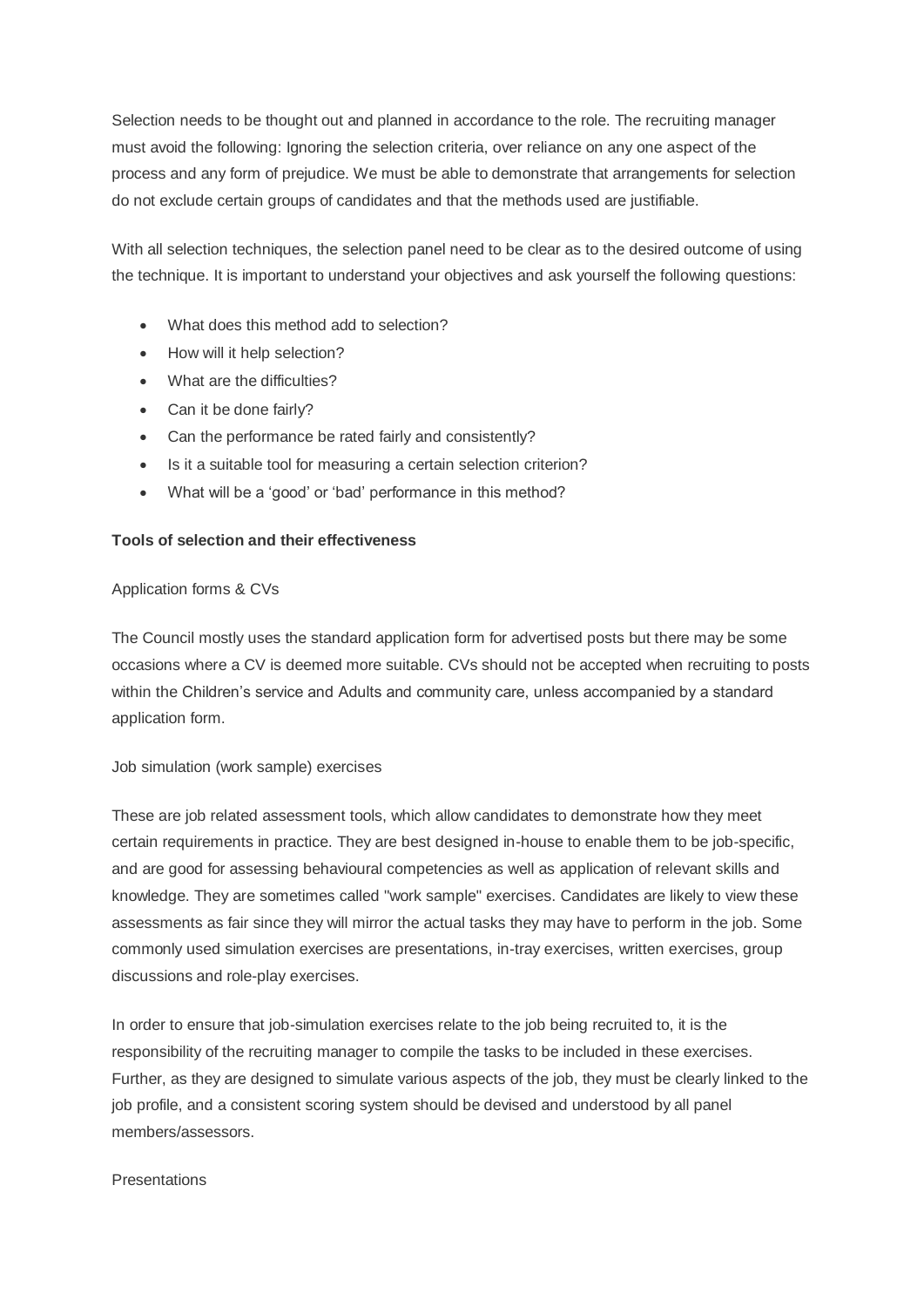Selection needs to be thought out and planned in accordance to the role. The recruiting manager must avoid the following: Ignoring the selection criteria, over reliance on any one aspect of the process and any form of prejudice. We must be able to demonstrate that arrangements for selection do not exclude certain groups of candidates and that the methods used are justifiable.

With all selection techniques, the selection panel need to be clear as to the desired outcome of using the technique. It is important to understand your objectives and ask yourself the following questions:

- What does this method add to selection?
- How will it help selection?
- What are the difficulties?
- Can it be done fairly?
- Can the performance be rated fairly and consistently?
- Is it a suitable tool for measuring a certain selection criterion?
- What will be a "good" or "bad" performance in this method?

#### **Tools of selection and their effectiveness**

#### Application forms & CVs

The Council mostly uses the standard application form for advertised posts but there may be some occasions where a CV is deemed more suitable. CVs should not be accepted when recruiting to posts within the Children"s service and Adults and community care, unless accompanied by a standard application form.

#### Job simulation (work sample) exercises

These are job related assessment tools, which allow candidates to demonstrate how they meet certain requirements in practice. They are best designed in-house to enable them to be job-specific, and are good for assessing behavioural competencies as well as application of relevant skills and knowledge. They are sometimes called "work sample" exercises. Candidates are likely to view these assessments as fair since they will mirror the actual tasks they may have to perform in the job. Some commonly used simulation exercises are presentations, in-tray exercises, written exercises, group discussions and role-play exercises.

In order to ensure that job-simulation exercises relate to the job being recruited to, it is the responsibility of the recruiting manager to compile the tasks to be included in these exercises. Further, as they are designed to simulate various aspects of the job, they must be clearly linked to the job profile, and a consistent scoring system should be devised and understood by all panel members/assessors.

#### **Presentations**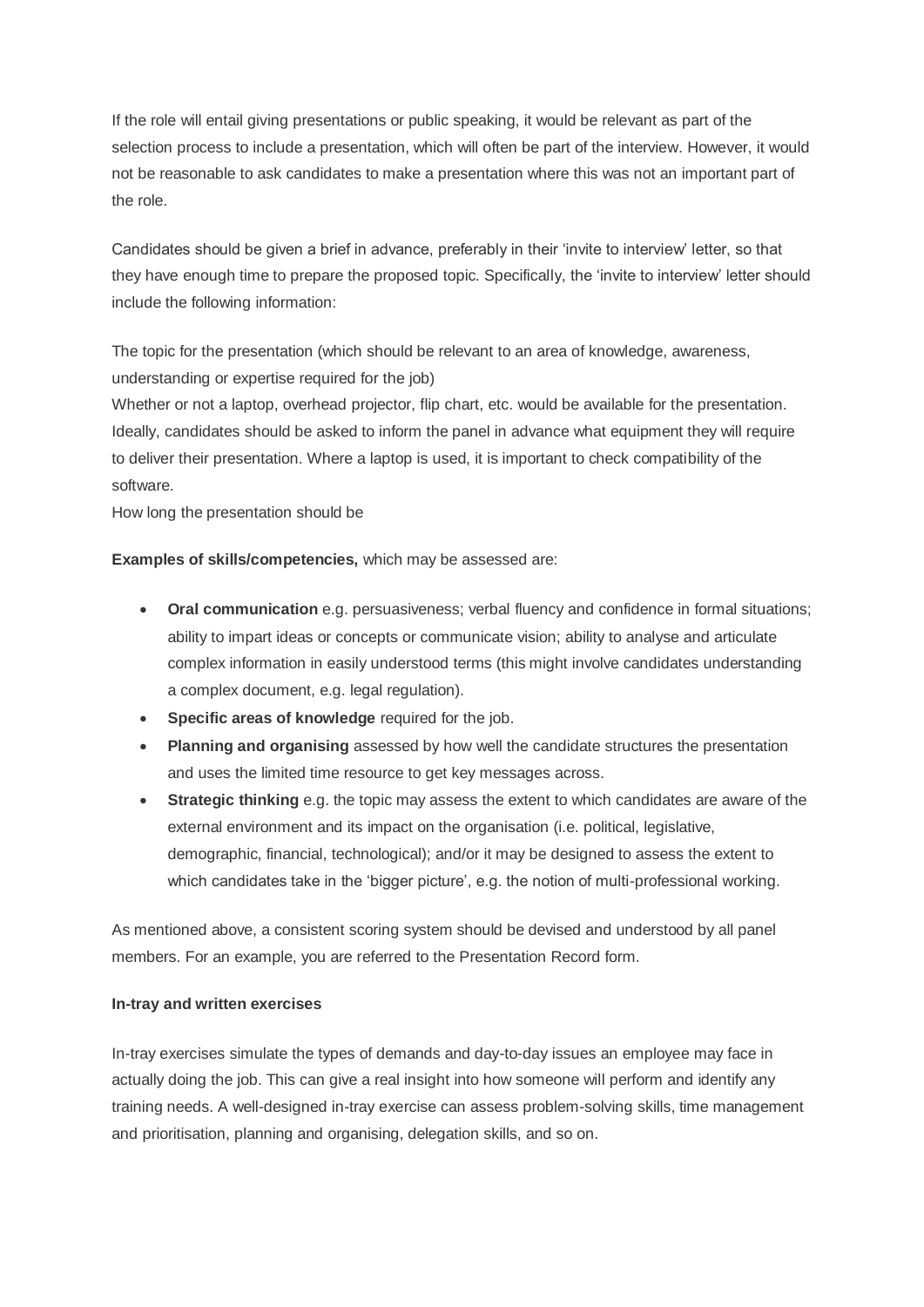If the role will entail giving presentations or public speaking, it would be relevant as part of the selection process to include a presentation, which will often be part of the interview. However, it would not be reasonable to ask candidates to make a presentation where this was not an important part of the role.

Candidates should be given a brief in advance, preferably in their "invite to interview" letter, so that they have enough time to prepare the proposed topic. Specifically, the "invite to interview" letter should include the following information:

The topic for the presentation (which should be relevant to an area of knowledge, awareness, understanding or expertise required for the job)

Whether or not a laptop, overhead projector, flip chart, etc. would be available for the presentation. Ideally, candidates should be asked to inform the panel in advance what equipment they will require to deliver their presentation. Where a laptop is used, it is important to check compatibility of the software.

How long the presentation should be

**Examples of skills/competencies,** which may be assessed are:

- **Oral communication** e.g. persuasiveness; verbal fluency and confidence in formal situations; ability to impart ideas or concepts or communicate vision; ability to analyse and articulate complex information in easily understood terms (this might involve candidates understanding a complex document, e.g. legal regulation).
- **Specific areas of knowledge** required for the job.
- **Planning and organising** assessed by how well the candidate structures the presentation and uses the limited time resource to get key messages across.
- **Strategic thinking** e.g. the topic may assess the extent to which candidates are aware of the external environment and its impact on the organisation (i.e. political, legislative, demographic, financial, technological); and/or it may be designed to assess the extent to which candidates take in the 'bigger picture', e.g. the notion of multi-professional working.

As mentioned above, a consistent scoring system should be devised and understood by all panel members. For an example, you are referred to the Presentation Record form.

## **In-tray and written exercises**

In-tray exercises simulate the types of demands and day-to-day issues an employee may face in actually doing the job. This can give a real insight into how someone will perform and identify any training needs. A well-designed in-tray exercise can assess problem-solving skills, time management and prioritisation, planning and organising, delegation skills, and so on.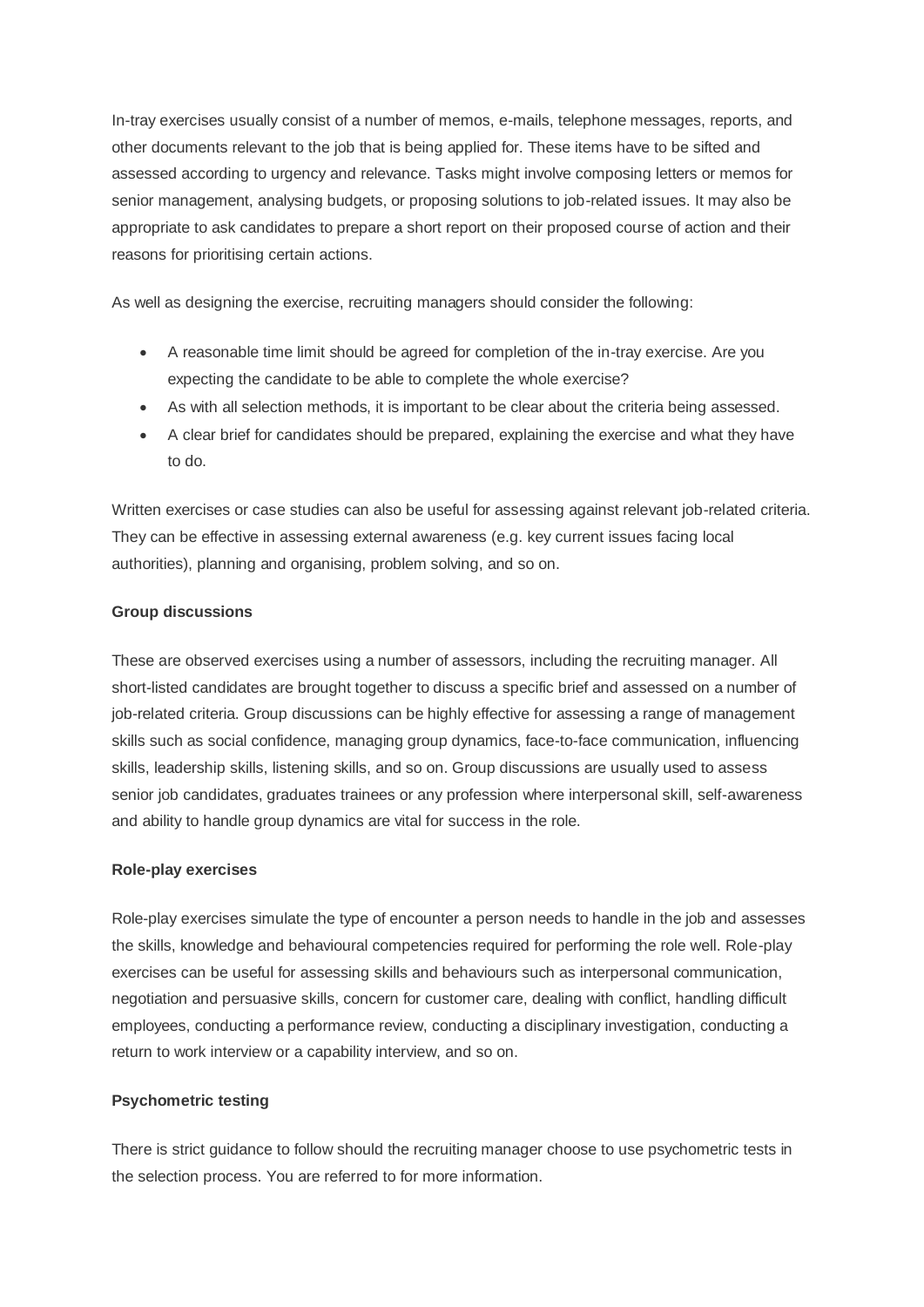In-tray exercises usually consist of a number of memos, e-mails, telephone messages, reports, and other documents relevant to the job that is being applied for. These items have to be sifted and assessed according to urgency and relevance. Tasks might involve composing letters or memos for senior management, analysing budgets, or proposing solutions to job-related issues. It may also be appropriate to ask candidates to prepare a short report on their proposed course of action and their reasons for prioritising certain actions.

As well as designing the exercise, recruiting managers should consider the following:

- A reasonable time limit should be agreed for completion of the in-tray exercise. Are you expecting the candidate to be able to complete the whole exercise?
- As with all selection methods, it is important to be clear about the criteria being assessed.
- A clear brief for candidates should be prepared, explaining the exercise and what they have to do.

Written exercises or case studies can also be useful for assessing against relevant job-related criteria. They can be effective in assessing external awareness (e.g. key current issues facing local authorities), planning and organising, problem solving, and so on.

## **Group discussions**

These are observed exercises using a number of assessors, including the recruiting manager. All short-listed candidates are brought together to discuss a specific brief and assessed on a number of job-related criteria. Group discussions can be highly effective for assessing a range of management skills such as social confidence, managing group dynamics, face-to-face communication, influencing skills, leadership skills, listening skills, and so on. Group discussions are usually used to assess senior job candidates, graduates trainees or any profession where interpersonal skill, self-awareness and ability to handle group dynamics are vital for success in the role.

## **Role-play exercises**

Role-play exercises simulate the type of encounter a person needs to handle in the job and assesses the skills, knowledge and behavioural competencies required for performing the role well. Role-play exercises can be useful for assessing skills and behaviours such as interpersonal communication, negotiation and persuasive skills, concern for customer care, dealing with conflict, handling difficult employees, conducting a performance review, conducting a disciplinary investigation, conducting a return to work interview or a capability interview, and so on.

#### **Psychometric testing**

There is strict guidance to follow should the recruiting manager choose to use psychometric tests in the selection process. You are referred to for more information.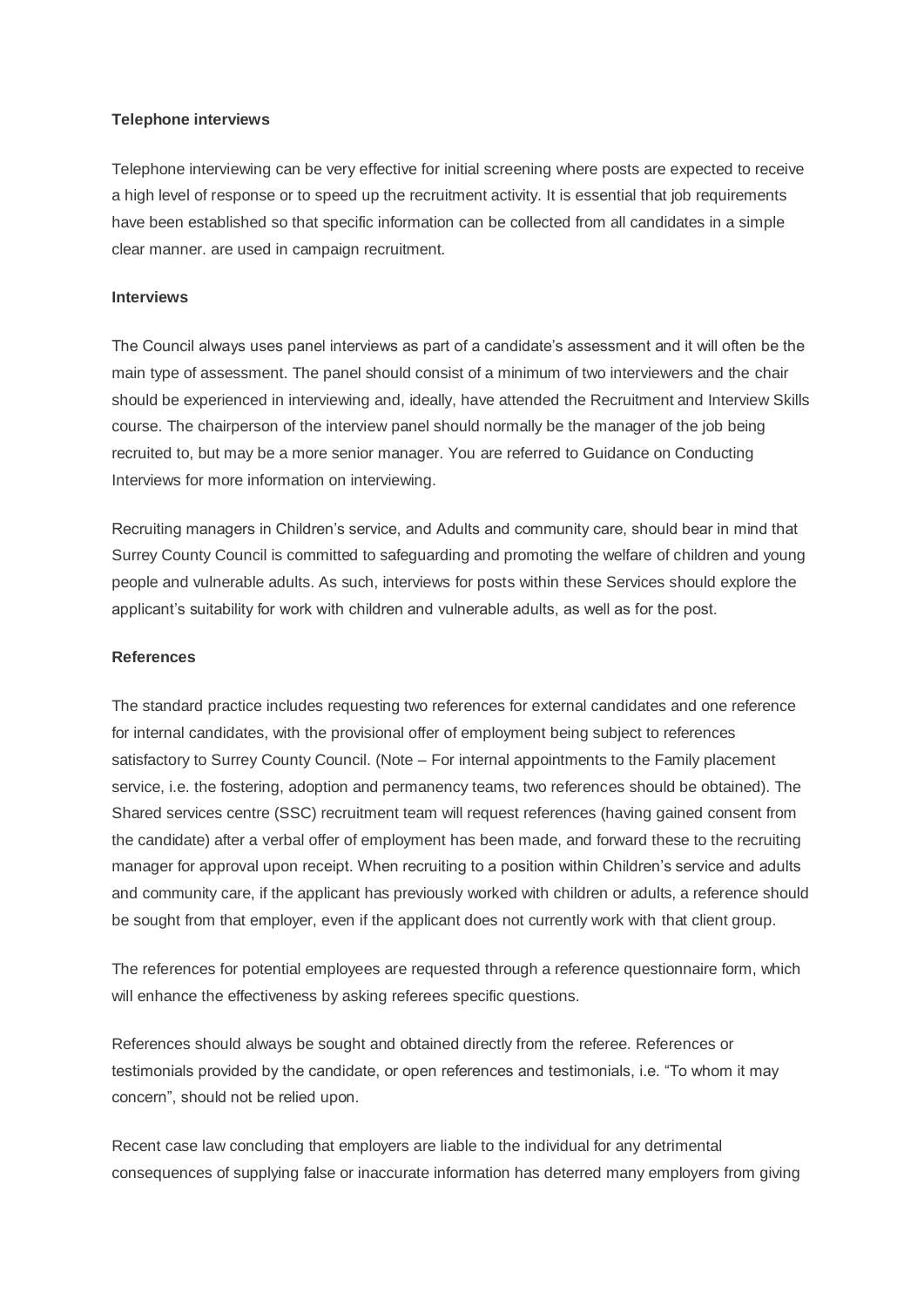#### **Telephone interviews**

Telephone interviewing can be very effective for initial screening where posts are expected to receive a high level of response or to speed up the recruitment activity. It is essential that job requirements have been established so that specific information can be collected from all candidates in a simple clear manner. are used in campaign recruitment.

#### **Interviews**

The Council always uses panel interviews as part of a candidate"s assessment and it will often be the main type of assessment. The panel should consist of a minimum of two interviewers and the chair should be experienced in interviewing and, ideally, have attended the Recruitment and Interview Skills course. The chairperson of the interview panel should normally be the manager of the job being recruited to, but may be a more senior manager. You are referred to Guidance on Conducting Interviews for more information on interviewing.

Recruiting managers in Children's service, and Adults and community care, should bear in mind that Surrey County Council is committed to safeguarding and promoting the welfare of children and young people and vulnerable adults. As such, interviews for posts within these Services should explore the applicant"s suitability for work with children and vulnerable adults, as well as for the post.

#### **References**

The standard practice includes requesting two references for external candidates and one reference for internal candidates, with the provisional offer of employment being subject to references satisfactory to Surrey County Council. (Note – For internal appointments to the Family placement service, i.e. the fostering, adoption and permanency teams, two references should be obtained). The Shared services centre (SSC) recruitment team will request references (having gained consent from the candidate) after a verbal offer of employment has been made, and forward these to the recruiting manager for approval upon receipt. When recruiting to a position within Children"s service and adults and community care, if the applicant has previously worked with children or adults, a reference should be sought from that employer, even if the applicant does not currently work with that client group.

The references for potential employees are requested through a reference questionnaire form, which will enhance the effectiveness by asking referees specific questions.

References should always be sought and obtained directly from the referee. References or testimonials provided by the candidate, or open references and testimonials, i.e. "To whom it may concern", should not be relied upon.

Recent case law concluding that employers are liable to the individual for any detrimental consequences of supplying false or inaccurate information has deterred many employers from giving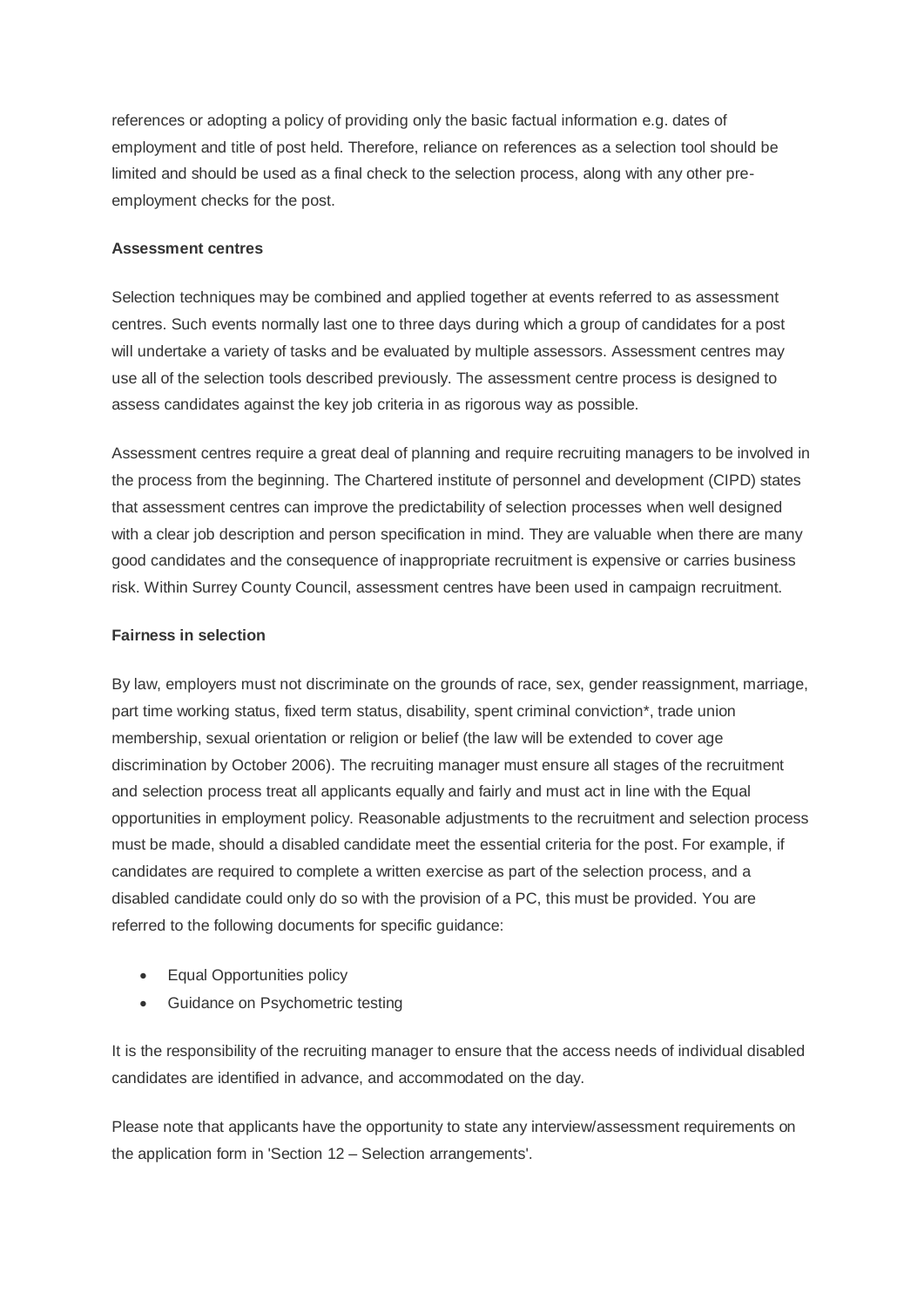references or adopting a policy of providing only the basic factual information e.g. dates of employment and title of post held. Therefore, reliance on references as a selection tool should be limited and should be used as a final check to the selection process, along with any other preemployment checks for the post.

#### **Assessment centres**

Selection techniques may be combined and applied together at events referred to as assessment centres. Such events normally last one to three days during which a group of candidates for a post will undertake a variety of tasks and be evaluated by multiple assessors. Assessment centres may use all of the selection tools described previously. The assessment centre process is designed to assess candidates against the key job criteria in as rigorous way as possible.

Assessment centres require a great deal of planning and require recruiting managers to be involved in the process from the beginning. The Chartered institute of personnel and development (CIPD) states that assessment centres can improve the predictability of selection processes when well designed with a clear job description and person specification in mind. They are valuable when there are many good candidates and the consequence of inappropriate recruitment is expensive or carries business risk. Within Surrey County Council, assessment centres have been used in campaign recruitment.

#### **Fairness in selection**

By law, employers must not discriminate on the grounds of race, sex, gender reassignment, marriage, part time working status, fixed term status, disability, spent criminal conviction\*, trade union membership, sexual orientation or religion or belief (the law will be extended to cover age discrimination by October 2006). The recruiting manager must ensure all stages of the recruitment and selection process treat all applicants equally and fairly and must act in line with the Equal opportunities in employment policy. Reasonable adjustments to the recruitment and selection process must be made, should a disabled candidate meet the essential criteria for the post. For example, if candidates are required to complete a written exercise as part of the selection process, and a disabled candidate could only do so with the provision of a PC, this must be provided. You are referred to the following documents for specific guidance:

- Equal Opportunities policy
- **•** Guidance on Psychometric testing

It is the responsibility of the recruiting manager to ensure that the access needs of individual disabled candidates are identified in advance, and accommodated on the day.

Please note that applicants have the opportunity to state any interview/assessment requirements on the application form in 'Section 12 – Selection arrangements'.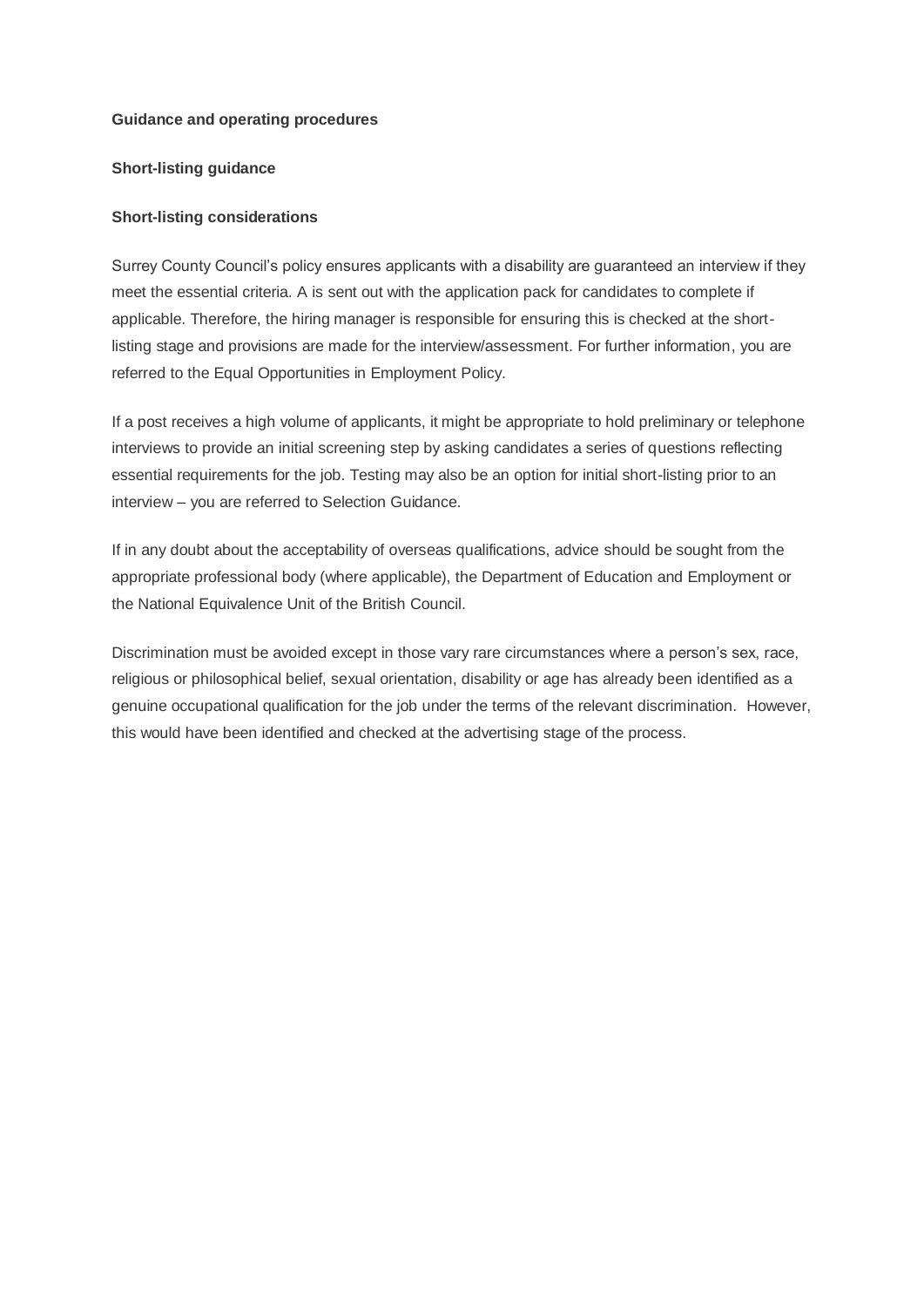#### **Guidance and operating procedures**

#### **Short-listing guidance**

#### **Short-listing considerations**

Surrey County Council's policy ensures applicants with a disability are guaranteed an interview if they meet the essential criteria. A is sent out with the application pack for candidates to complete if applicable. Therefore, the hiring manager is responsible for ensuring this is checked at the shortlisting stage and provisions are made for the interview/assessment. For further information, you are referred to the Equal Opportunities in Employment Policy.

If a post receives a high volume of applicants, it might be appropriate to hold preliminary or telephone interviews to provide an initial screening step by asking candidates a series of questions reflecting essential requirements for the job. Testing may also be an option for initial short-listing prior to an interview – you are referred to Selection Guidance.

If in any doubt about the acceptability of overseas qualifications, advice should be sought from the appropriate professional body (where applicable), the Department of Education and Employment or the National Equivalence Unit of the British Council.

Discrimination must be avoided except in those vary rare circumstances where a person"s sex, race, religious or philosophical belief, sexual orientation, disability or age has already been identified as a genuine occupational qualification for the job under the terms of the relevant discrimination. However, this would have been identified and checked at the advertising stage of the process.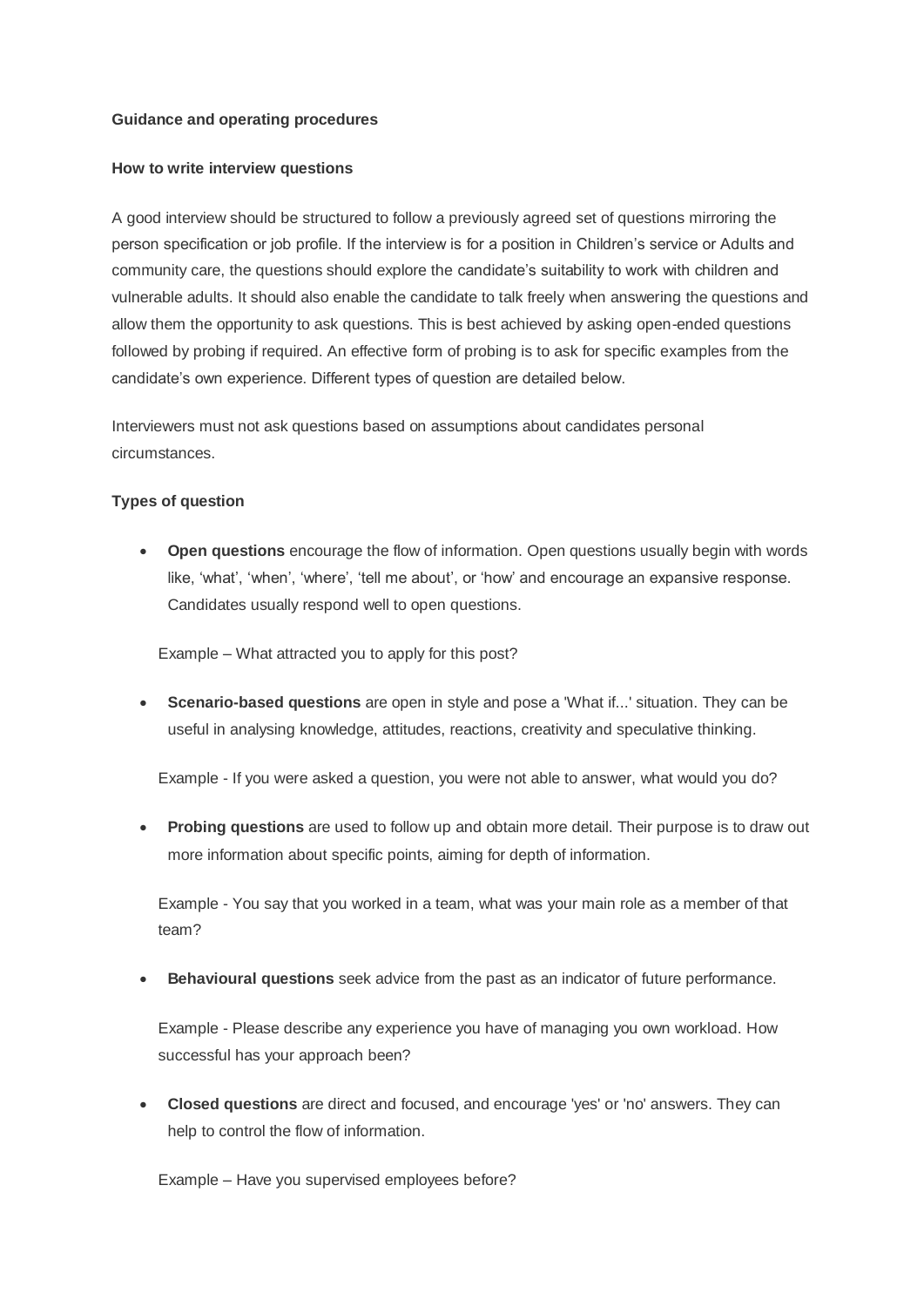#### **Guidance and operating procedures**

#### **How to write interview questions**

A good interview should be structured to follow a previously agreed set of questions mirroring the person specification or job profile. If the interview is for a position in Children"s service or Adults and community care, the questions should explore the candidate"s suitability to work with children and vulnerable adults. It should also enable the candidate to talk freely when answering the questions and allow them the opportunity to ask questions. This is best achieved by asking open-ended questions followed by probing if required. An effective form of probing is to ask for specific examples from the candidate's own experience. Different types of question are detailed below.

Interviewers must not ask questions based on assumptions about candidates personal circumstances.

#### **Types of question**

 **Open questions** encourage the flow of information. Open questions usually begin with words like, 'what', 'when', 'where', 'tell me about', or 'how' and encourage an expansive response. Candidates usually respond well to open questions.

Example – What attracted you to apply for this post?

 **Scenario-based questions** are open in style and pose a 'What if...' situation. They can be useful in analysing knowledge, attitudes, reactions, creativity and speculative thinking.

Example - If you were asked a question, you were not able to answer, what would you do?

 **Probing questions** are used to follow up and obtain more detail. Their purpose is to draw out more information about specific points, aiming for depth of information.

Example - You say that you worked in a team, what was your main role as a member of that team?

**Behavioural questions** seek advice from the past as an indicator of future performance.

Example - Please describe any experience you have of managing you own workload. How successful has your approach been?

 **Closed questions** are direct and focused, and encourage 'yes' or 'no' answers. They can help to control the flow of information.

Example – Have you supervised employees before?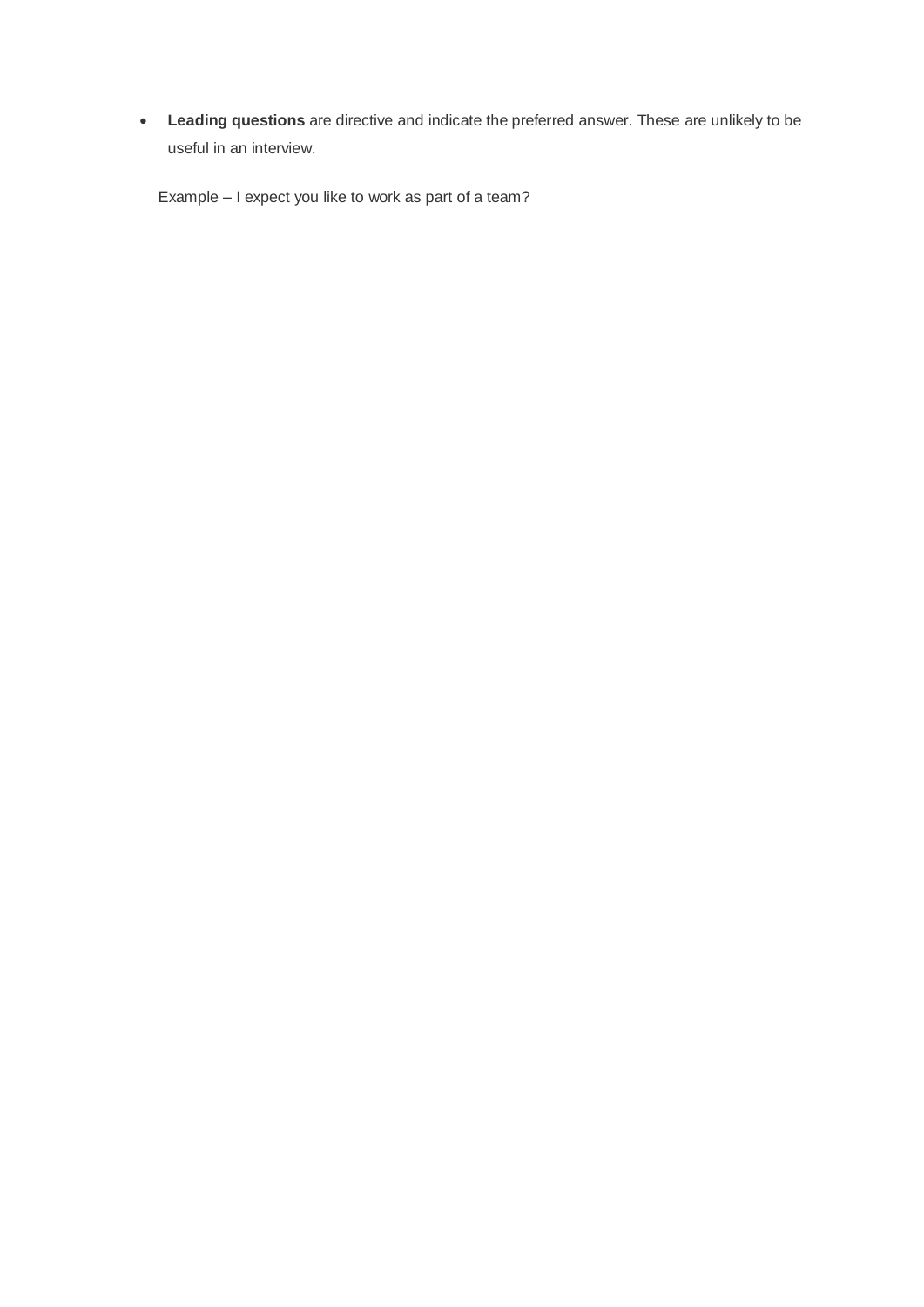**Leading questions** are directive and indicate the preferred answer. These are unlikely to be useful in an interview.

Example – I expect you like to work as part of a team?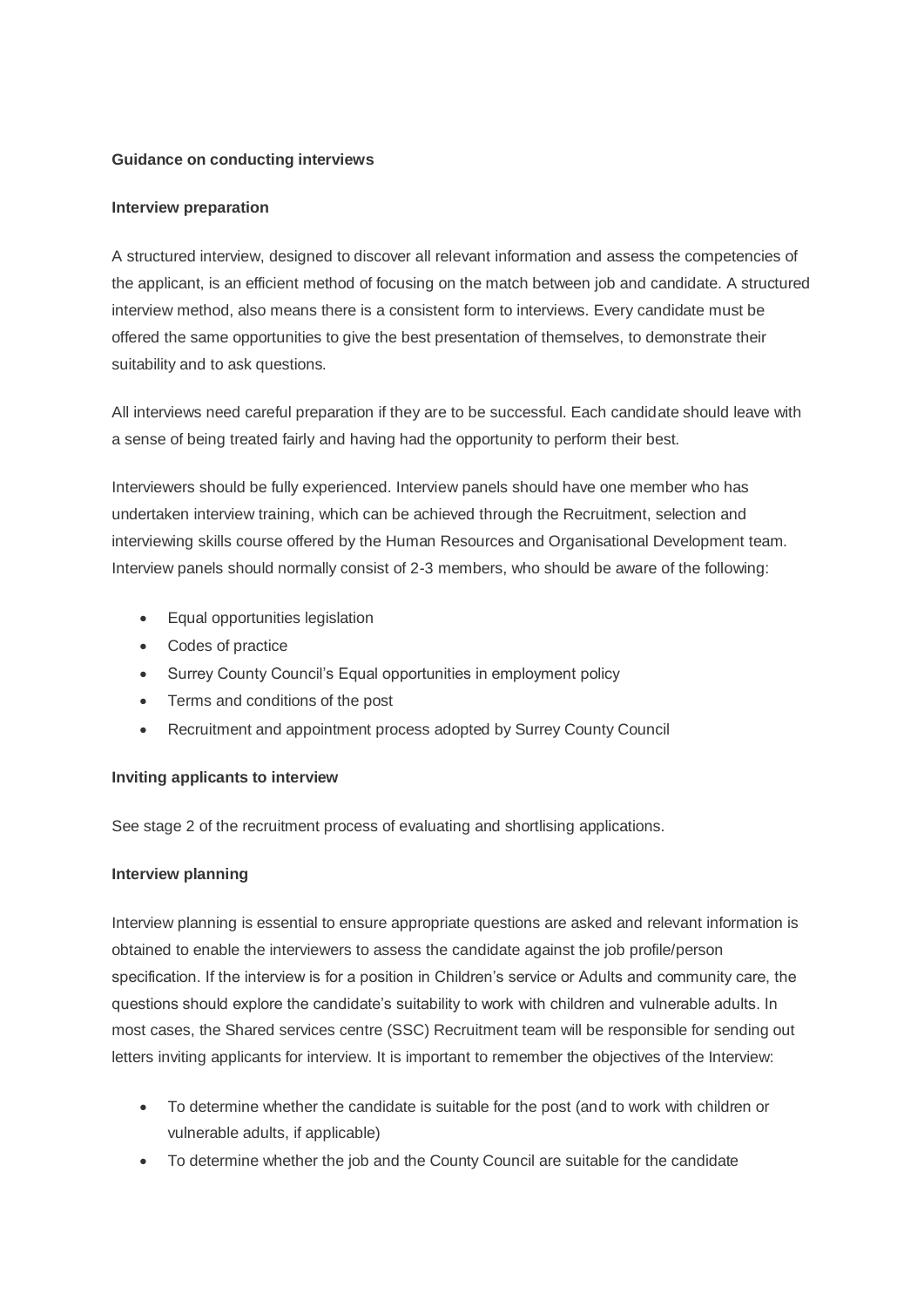#### **Guidance on conducting interviews**

#### **Interview preparation**

A structured interview, designed to discover all relevant information and assess the competencies of the applicant, is an efficient method of focusing on the match between job and candidate. A structured interview method, also means there is a consistent form to interviews. Every candidate must be offered the same opportunities to give the best presentation of themselves, to demonstrate their suitability and to ask questions.

All interviews need careful preparation if they are to be successful. Each candidate should leave with a sense of being treated fairly and having had the opportunity to perform their best.

Interviewers should be fully experienced. Interview panels should have one member who has undertaken interview training, which can be achieved through the Recruitment, selection and interviewing skills course offered by the Human Resources and Organisational Development team. Interview panels should normally consist of 2-3 members, who should be aware of the following:

- Equal opportunities legislation
- Codes of practice
- Surrey County Council's Equal opportunities in employment policy
- Terms and conditions of the post
- Recruitment and appointment process adopted by Surrey County Council

## **Inviting applicants to interview**

See stage 2 of the recruitment process of evaluating and shortlising applications.

## **Interview planning**

Interview planning is essential to ensure appropriate questions are asked and relevant information is obtained to enable the interviewers to assess the candidate against the job profile/person specification. If the interview is for a position in Children"s service or Adults and community care, the questions should explore the candidate"s suitability to work with children and vulnerable adults. In most cases, the Shared services centre (SSC) Recruitment team will be responsible for sending out letters inviting applicants for interview. It is important to remember the objectives of the Interview:

- To determine whether the candidate is suitable for the post (and to work with children or vulnerable adults, if applicable)
- To determine whether the job and the County Council are suitable for the candidate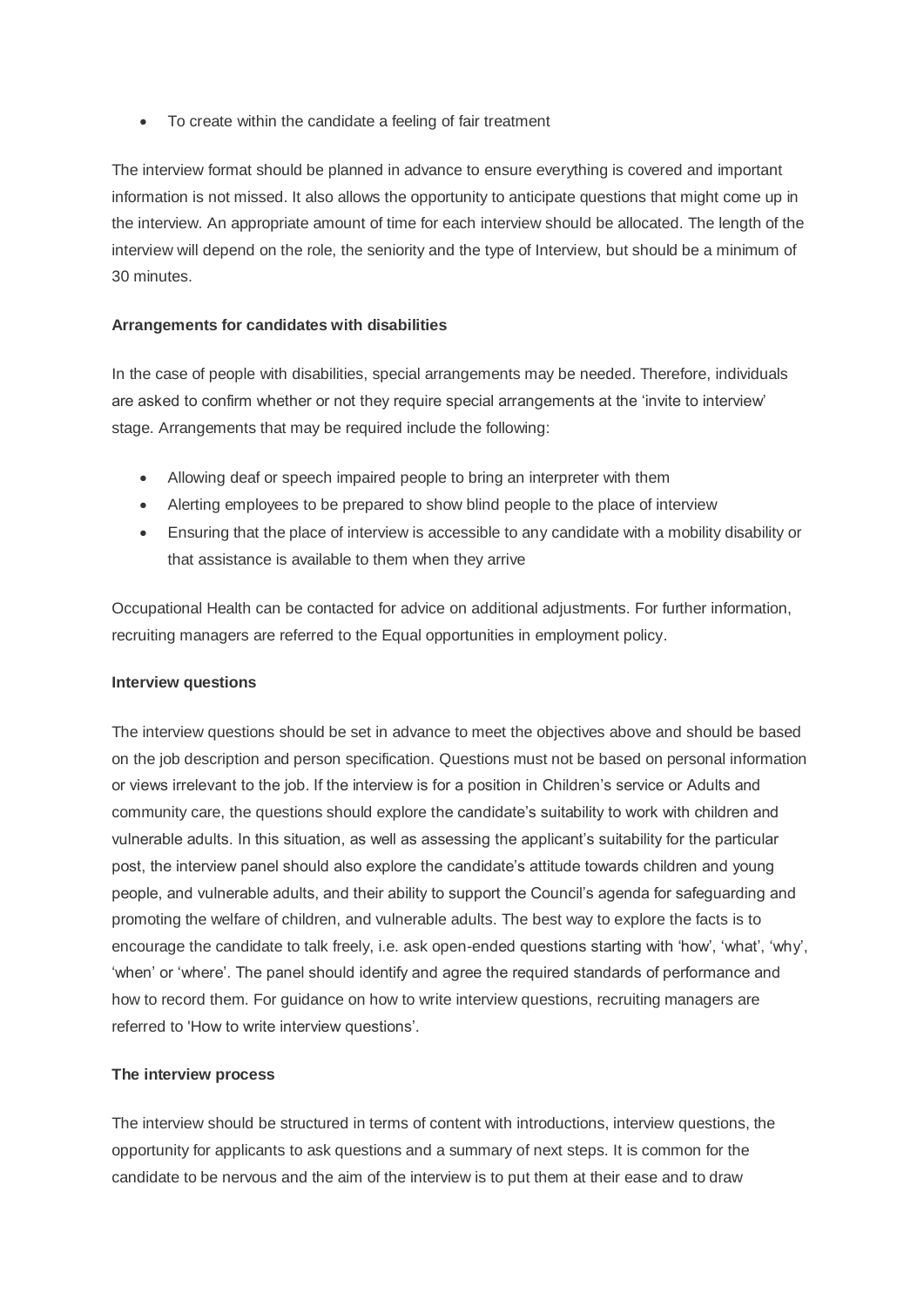To create within the candidate a feeling of fair treatment

The interview format should be planned in advance to ensure everything is covered and important information is not missed. It also allows the opportunity to anticipate questions that might come up in the interview. An appropriate amount of time for each interview should be allocated. The length of the interview will depend on the role, the seniority and the type of Interview, but should be a minimum of 30 minutes.

#### **Arrangements for candidates with disabilities**

In the case of people with disabilities, special arrangements may be needed. Therefore, individuals are asked to confirm whether or not they require special arrangements at the "invite to interview" stage. Arrangements that may be required include the following:

- Allowing deaf or speech impaired people to bring an interpreter with them
- Alerting employees to be prepared to show blind people to the place of interview
- Ensuring that the place of interview is accessible to any candidate with a mobility disability or that assistance is available to them when they arrive

Occupational Health can be contacted for advice on additional adjustments. For further information, recruiting managers are referred to the Equal opportunities in employment policy.

#### **Interview questions**

The interview questions should be set in advance to meet the objectives above and should be based on the job description and person specification. Questions must not be based on personal information or views irrelevant to the job. If the interview is for a position in Children"s service or Adults and community care, the questions should explore the candidate"s suitability to work with children and vulnerable adults. In this situation, as well as assessing the applicant"s suitability for the particular post, the interview panel should also explore the candidate"s attitude towards children and young people, and vulnerable adults, and their ability to support the Council"s agenda for safeguarding and promoting the welfare of children, and vulnerable adults. The best way to explore the facts is to encourage the candidate to talk freely, i.e. ask open-ended questions starting with 'how', 'what', 'why', 'when' or 'where'. The panel should identify and agree the required standards of performance and how to record them. For guidance on how to write interview questions, recruiting managers are referred to 'How to write interview questions".

#### **The interview process**

The interview should be structured in terms of content with introductions, interview questions, the opportunity for applicants to ask questions and a summary of next steps. It is common for the candidate to be nervous and the aim of the interview is to put them at their ease and to draw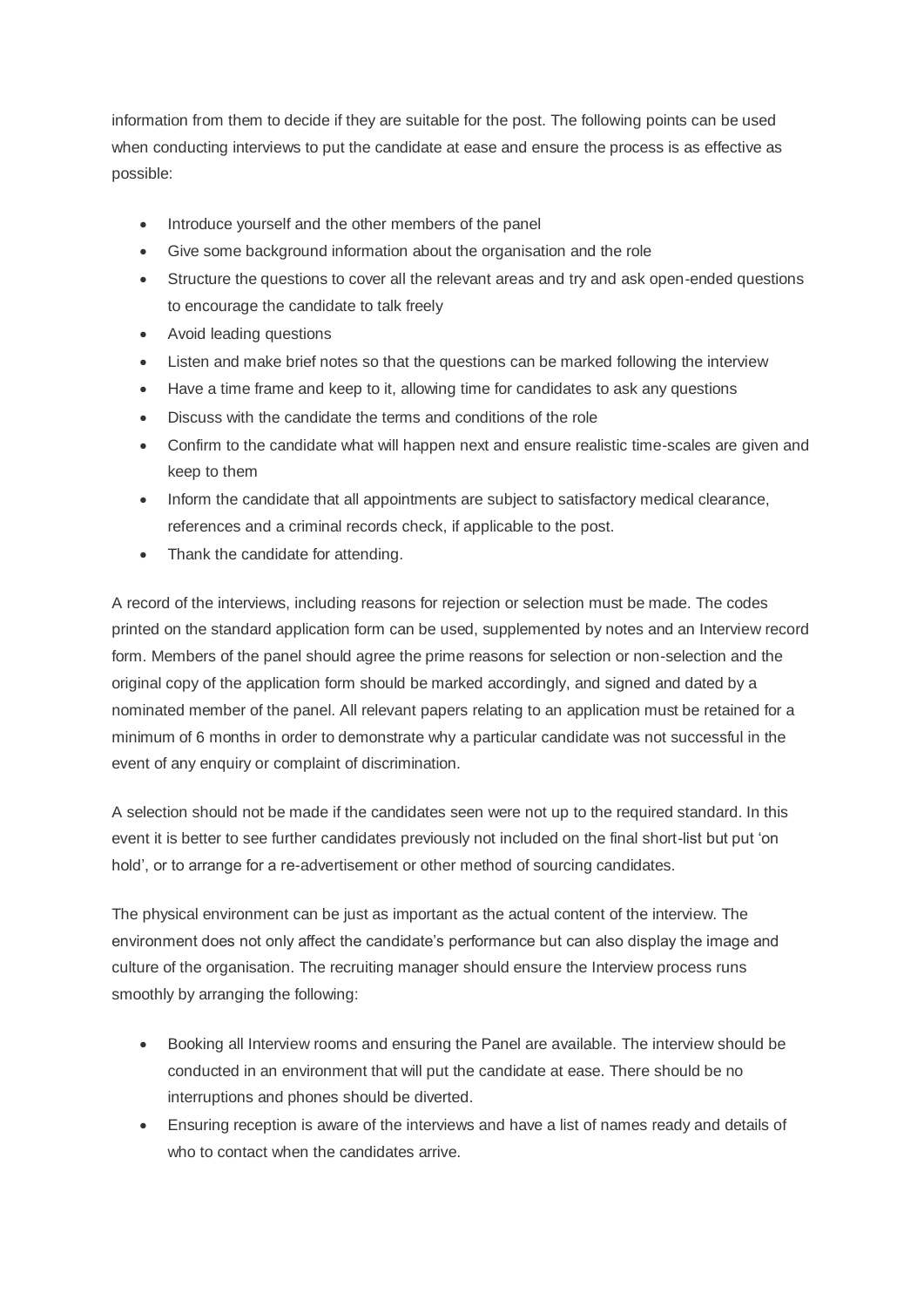information from them to decide if they are suitable for the post. The following points can be used when conducting interviews to put the candidate at ease and ensure the process is as effective as possible:

- Introduce yourself and the other members of the panel
- Give some background information about the organisation and the role
- Structure the questions to cover all the relevant areas and try and ask open-ended questions to encourage the candidate to talk freely
- Avoid leading questions
- Listen and make brief notes so that the questions can be marked following the interview
- Have a time frame and keep to it, allowing time for candidates to ask any questions
- Discuss with the candidate the terms and conditions of the role
- Confirm to the candidate what will happen next and ensure realistic time-scales are given and keep to them
- Inform the candidate that all appointments are subject to satisfactory medical clearance, references and a criminal records check, if applicable to the post.
- Thank the candidate for attending.

A record of the interviews, including reasons for rejection or selection must be made. The codes printed on the standard application form can be used, supplemented by notes and an Interview record form. Members of the panel should agree the prime reasons for selection or non-selection and the original copy of the application form should be marked accordingly, and signed and dated by a nominated member of the panel. All relevant papers relating to an application must be retained for a minimum of 6 months in order to demonstrate why a particular candidate was not successful in the event of any enquiry or complaint of discrimination.

A selection should not be made if the candidates seen were not up to the required standard. In this event it is better to see further candidates previously not included on the final short-list but put "on hold", or to arrange for a re-advertisement or other method of sourcing candidates.

The physical environment can be just as important as the actual content of the interview. The environment does not only affect the candidate"s performance but can also display the image and culture of the organisation. The recruiting manager should ensure the Interview process runs smoothly by arranging the following:

- Booking all Interview rooms and ensuring the Panel are available. The interview should be conducted in an environment that will put the candidate at ease. There should be no interruptions and phones should be diverted.
- Ensuring reception is aware of the interviews and have a list of names ready and details of who to contact when the candidates arrive.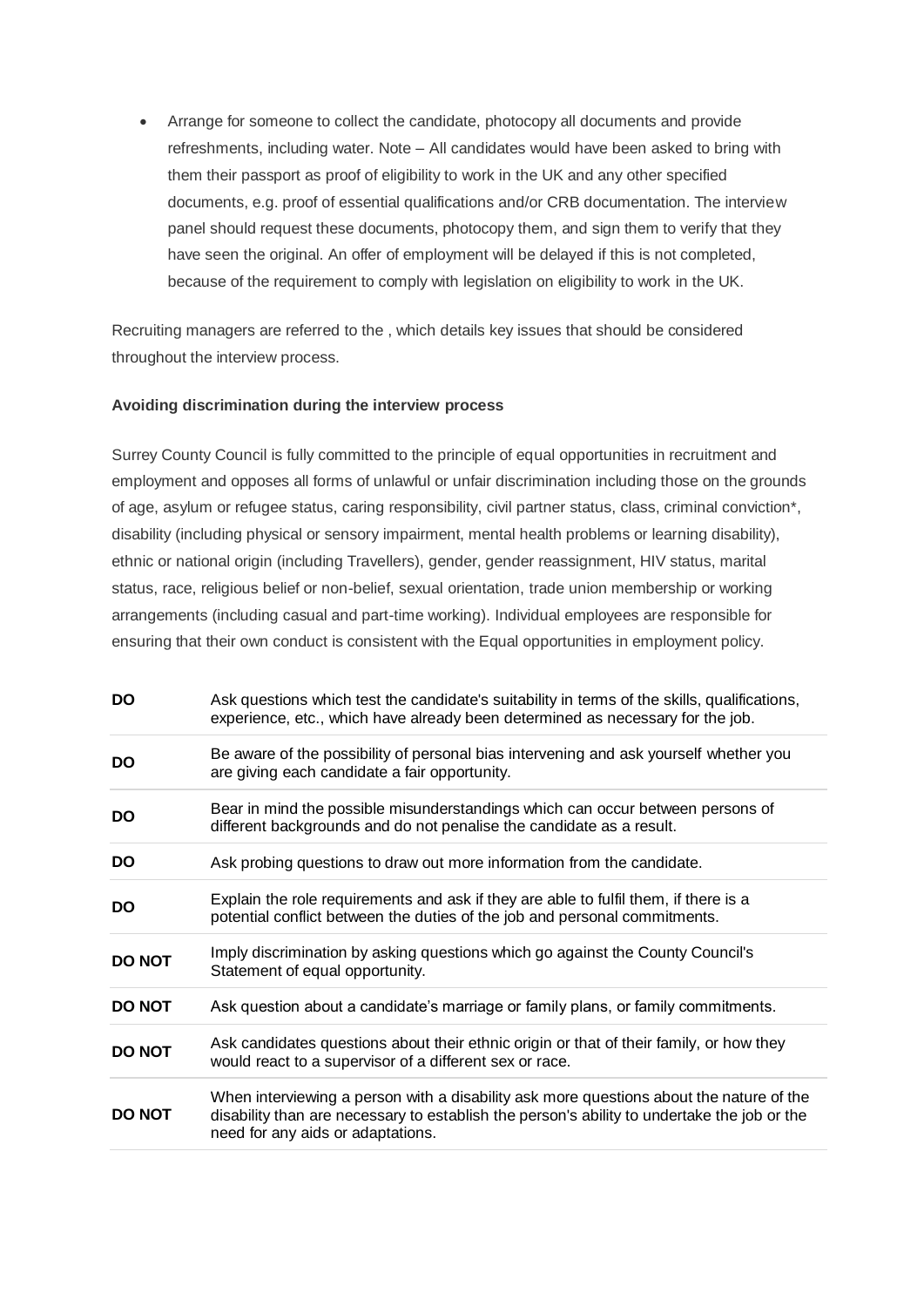Arrange for someone to collect the candidate, photocopy all documents and provide refreshments, including water. Note – All candidates would have been asked to bring with them their passport as proof of eligibility to work in the UK and any other specified documents, e.g. proof of essential qualifications and/or CRB documentation. The interview panel should request these documents, photocopy them, and sign them to verify that they have seen the original. An offer of employment will be delayed if this is not completed, because of the requirement to comply with legislation on eligibility to work in the UK.

Recruiting managers are referred to the , which details key issues that should be considered throughout the interview process.

#### **Avoiding discrimination during the interview process**

Surrey County Council is fully committed to the principle of equal opportunities in recruitment and employment and opposes all forms of unlawful or unfair discrimination including those on the grounds of age, asylum or refugee status, caring responsibility, civil partner status, class, criminal conviction\*, disability (including physical or sensory impairment, mental health problems or learning disability), ethnic or national origin (including Travellers), gender, gender reassignment, HIV status, marital status, race, religious belief or non-belief, sexual orientation, trade union membership or working arrangements (including casual and part-time working). Individual employees are responsible for ensuring that their own conduct is consistent with the Equal opportunities in employment policy.

| <b>DO</b>     | Ask questions which test the candidate's suitability in terms of the skills, qualifications,<br>experience, etc., which have already been determined as necessary for the job.                                              |
|---------------|-----------------------------------------------------------------------------------------------------------------------------------------------------------------------------------------------------------------------------|
| <b>DO</b>     | Be aware of the possibility of personal bias intervening and ask yourself whether you<br>are giving each candidate a fair opportunity.                                                                                      |
| <b>DO</b>     | Bear in mind the possible misunderstandings which can occur between persons of<br>different backgrounds and do not penalise the candidate as a result.                                                                      |
| <b>DO</b>     | Ask probing questions to draw out more information from the candidate.                                                                                                                                                      |
| <b>DO</b>     | Explain the role requirements and ask if they are able to fulfil them, if there is a<br>potential conflict between the duties of the job and personal commitments.                                                          |
| <b>DO NOT</b> | Imply discrimination by asking questions which go against the County Council's<br>Statement of equal opportunity.                                                                                                           |
| <b>DO NOT</b> | Ask question about a candidate's marriage or family plans, or family commitments.                                                                                                                                           |
| <b>DO NOT</b> | Ask candidates questions about their ethnic origin or that of their family, or how they<br>would react to a supervisor of a different sex or race.                                                                          |
| <b>DO NOT</b> | When interviewing a person with a disability ask more questions about the nature of the<br>disability than are necessary to establish the person's ability to undertake the job or the<br>need for any aids or adaptations. |
|               |                                                                                                                                                                                                                             |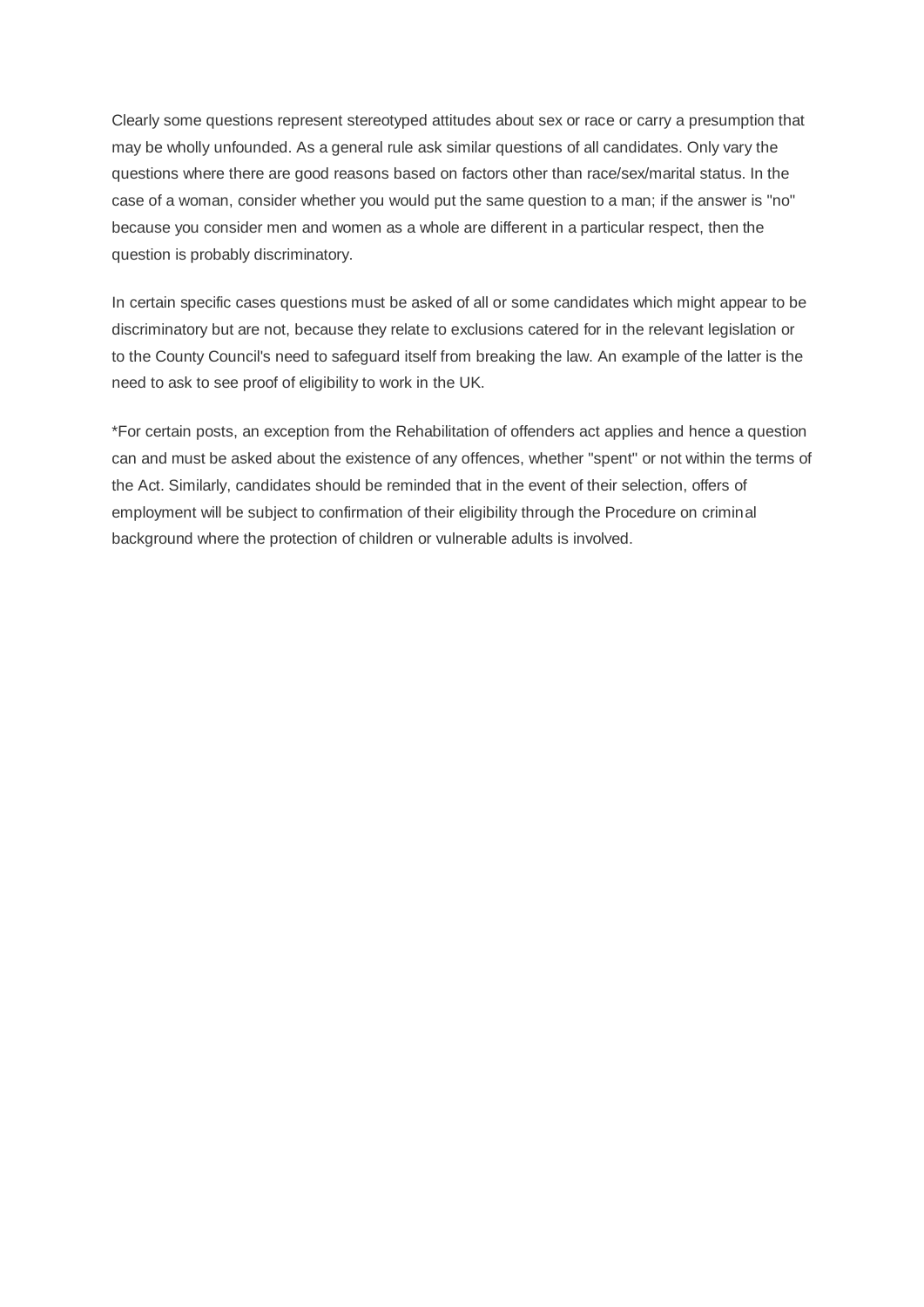Clearly some questions represent stereotyped attitudes about sex or race or carry a presumption that may be wholly unfounded. As a general rule ask similar questions of all candidates. Only vary the questions where there are good reasons based on factors other than race/sex/marital status. In the case of a woman, consider whether you would put the same question to a man; if the answer is "no" because you consider men and women as a whole are different in a particular respect, then the question is probably discriminatory.

In certain specific cases questions must be asked of all or some candidates which might appear to be discriminatory but are not, because they relate to exclusions catered for in the relevant legislation or to the County Council's need to safeguard itself from breaking the law. An example of the latter is the need to ask to see proof of eligibility to work in the UK.

\*For certain posts, an exception from the Rehabilitation of offenders act applies and hence a question can and must be asked about the existence of any offences, whether "spent" or not within the terms of the Act. Similarly, candidates should be reminded that in the event of their selection, offers of employment will be subject to confirmation of their eligibility through the Procedure on criminal background where the protection of children or vulnerable adults is involved.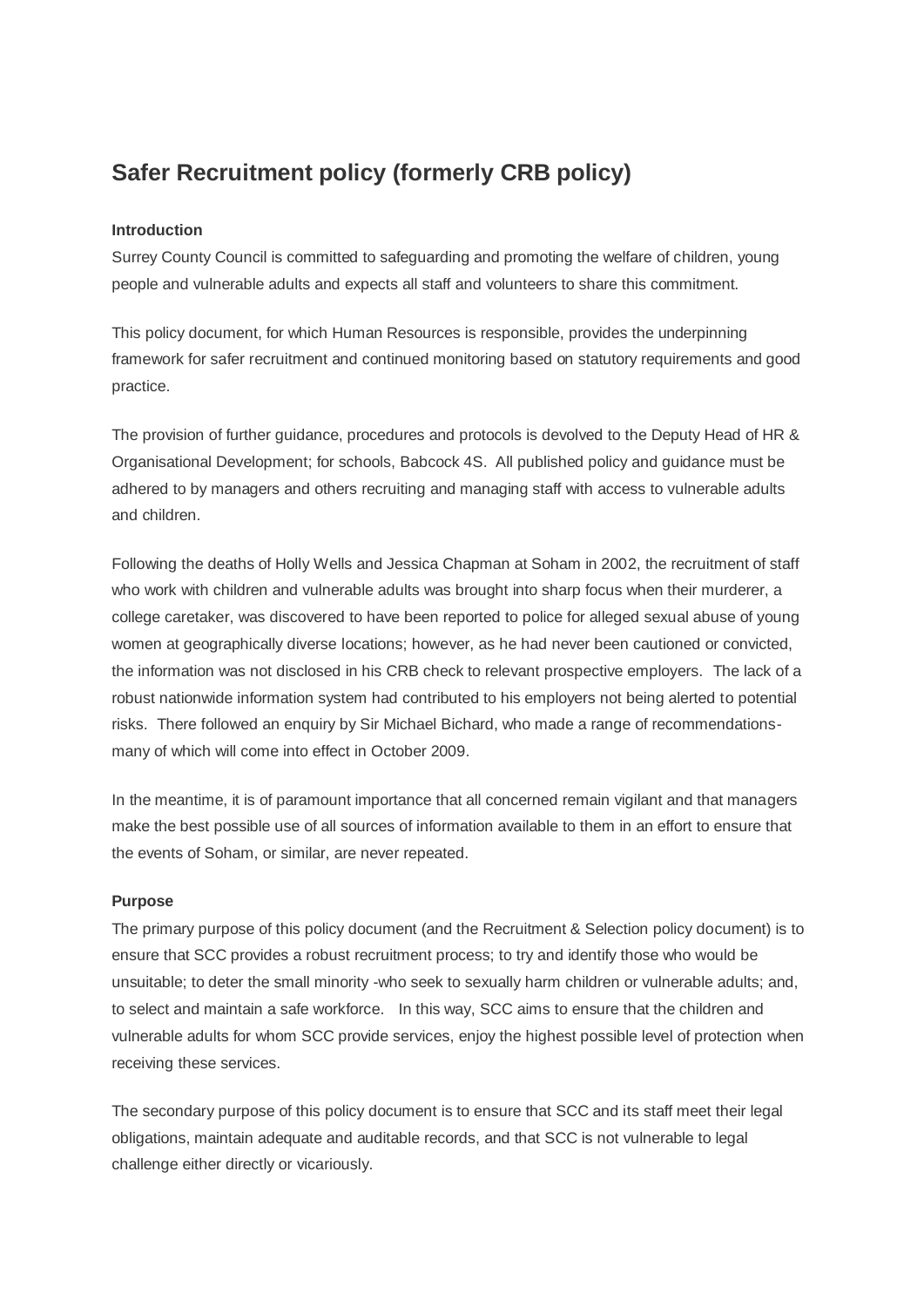# **Safer Recruitment policy (formerly CRB policy)**

#### **Introduction**

Surrey County Council is committed to safeguarding and promoting the welfare of children, young people and vulnerable adults and expects all staff and volunteers to share this commitment.

This policy document, for which Human Resources is responsible, provides the underpinning framework for safer recruitment and continued monitoring based on statutory requirements and good practice.

The provision of further guidance, procedures and protocols is devolved to the Deputy Head of HR & Organisational Development; for schools, Babcock 4S. All published policy and guidance must be adhered to by managers and others recruiting and managing staff with access to vulnerable adults and children.

Following the deaths of Holly Wells and Jessica Chapman at Soham in 2002, the recruitment of staff who work with children and vulnerable adults was brought into sharp focus when their murderer, a college caretaker, was discovered to have been reported to police for alleged sexual abuse of young women at geographically diverse locations; however, as he had never been cautioned or convicted, the information was not disclosed in his CRB check to relevant prospective employers. The lack of a robust nationwide information system had contributed to his employers not being alerted to potential risks. There followed an enquiry by Sir Michael Bichard, who made a range of recommendationsmany of which will come into effect in October 2009.

In the meantime, it is of paramount importance that all concerned remain vigilant and that managers make the best possible use of all sources of information available to them in an effort to ensure that the events of Soham, or similar, are never repeated.

#### **Purpose**

The primary purpose of this policy document (and the Recruitment & Selection policy document) is to ensure that SCC provides a robust recruitment process; to try and identify those who would be unsuitable; to deter the small minority -who seek to sexually harm children or vulnerable adults; and, to select and maintain a safe workforce. In this way, SCC aims to ensure that the children and vulnerable adults for whom SCC provide services, enjoy the highest possible level of protection when receiving these services.

The secondary purpose of this policy document is to ensure that SCC and its staff meet their legal obligations, maintain adequate and auditable records, and that SCC is not vulnerable to legal challenge either directly or vicariously.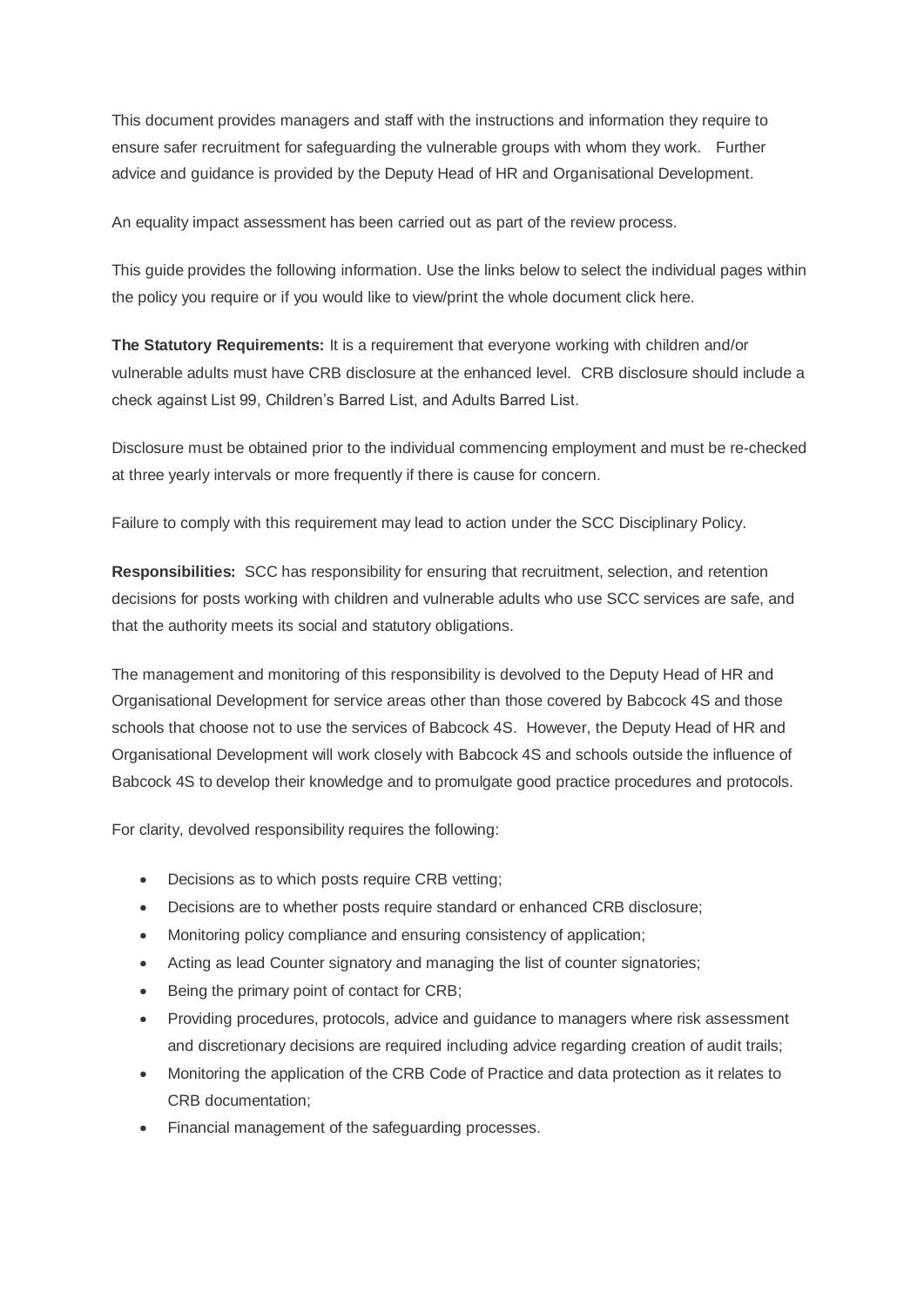This document provides managers and staff with the instructions and information they require to ensure safer recruitment for safeguarding the vulnerable groups with whom they work. Further advice and guidance is provided by the Deputy Head of HR and Organisational Development.

An equality impact assessment has been carried out as part of the review process.

This guide provides the following information. Use the links below to select the individual pages within the policy you require or if you would like to view/print the whole document click here.

**The Statutory Requirements:** It is a requirement that everyone working with children and/or vulnerable adults must have CRB disclosure at the enhanced level. CRB disclosure should include a check against List 99, Children"s Barred List, and Adults Barred List.

Disclosure must be obtained prior to the individual commencing employment and must be re-checked at three yearly intervals or more frequently if there is cause for concern.

Failure to comply with this requirement may lead to action under the SCC Disciplinary Policy.

**Responsibilities:** SCC has responsibility for ensuring that recruitment, selection, and retention decisions for posts working with children and vulnerable adults who use SCC services are safe, and that the authority meets its social and statutory obligations.

The management and monitoring of this responsibility is devolved to the Deputy Head of HR and Organisational Development for service areas other than those covered by Babcock 4S and those schools that choose not to use the services of Babcock 4S. However, the Deputy Head of HR and Organisational Development will work closely with Babcock 4S and schools outside the influence of Babcock 4S to develop their knowledge and to promulgate good practice procedures and protocols.

For clarity, devolved responsibility requires the following:

- Decisions as to which posts require CRB vetting;
- Decisions are to whether posts require standard or enhanced CRB disclosure;
- Monitoring policy compliance and ensuring consistency of application;
- Acting as lead Counter signatory and managing the list of counter signatories;
- Being the primary point of contact for CRB;
- Providing procedures, protocols, advice and guidance to managers where risk assessment and discretionary decisions are required including advice regarding creation of audit trails;
- Monitoring the application of the CRB Code of Practice and data protection as it relates to CRB documentation;
- Financial management of the safeguarding processes.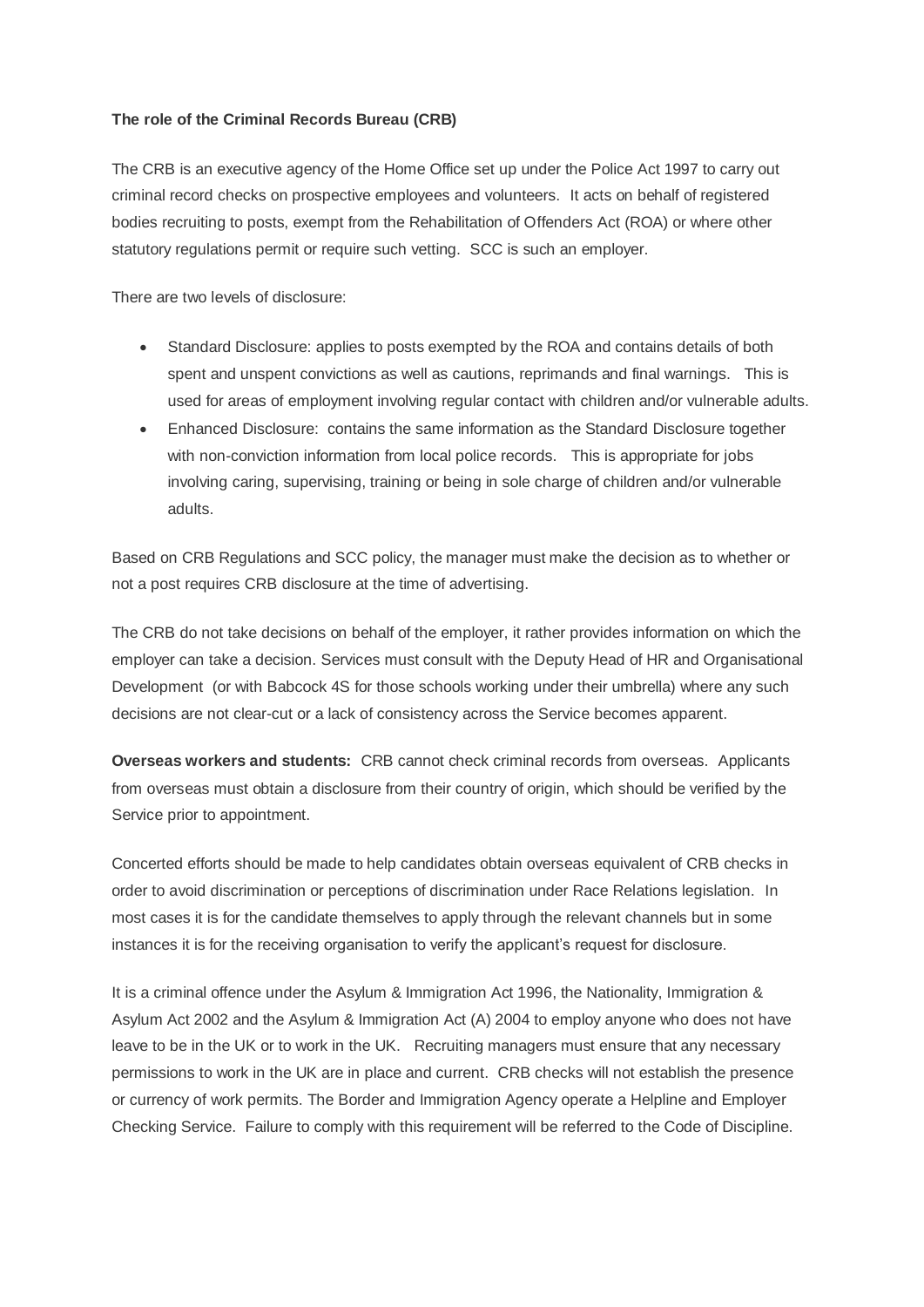#### **The role of the Criminal Records Bureau (CRB)**

The CRB is an executive agency of the Home Office set up under the Police Act 1997 to carry out criminal record checks on prospective employees and volunteers. It acts on behalf of registered bodies recruiting to posts, exempt from the Rehabilitation of Offenders Act (ROA) or where other statutory regulations permit or require such vetting. SCC is such an employer.

There are two levels of disclosure:

- Standard Disclosure: applies to posts exempted by the ROA and contains details of both spent and unspent convictions as well as cautions, reprimands and final warnings. This is used for areas of employment involving regular contact with children and/or vulnerable adults.
- Enhanced Disclosure: contains the same information as the Standard Disclosure together with non-conviction information from local police records. This is appropriate for jobs involving caring, supervising, training or being in sole charge of children and/or vulnerable adults.

Based on CRB Regulations and SCC policy, the manager must make the decision as to whether or not a post requires CRB disclosure at the time of advertising.

The CRB do not take decisions on behalf of the employer, it rather provides information on which the employer can take a decision. Services must consult with the Deputy Head of HR and Organisational Development (or with Babcock 4S for those schools working under their umbrella) where any such decisions are not clear-cut or a lack of consistency across the Service becomes apparent.

**Overseas workers and students:** CRB cannot check criminal records from overseas. Applicants from overseas must obtain a disclosure from their country of origin, which should be verified by the Service prior to appointment.

Concerted efforts should be made to help candidates obtain overseas equivalent of CRB checks in order to avoid discrimination or perceptions of discrimination under Race Relations legislation. In most cases it is for the candidate themselves to apply through the relevant channels but in some instances it is for the receiving organisation to verify the applicant's request for disclosure.

It is a criminal offence under the Asylum & Immigration Act 1996, the Nationality, Immigration & Asylum Act 2002 and the Asylum & Immigration Act (A) 2004 to employ anyone who does not have leave to be in the UK or to work in the UK. Recruiting managers must ensure that any necessary permissions to work in the UK are in place and current. CRB checks will not establish the presence or currency of work permits. The Border and Immigration Agency operate a Helpline and Employer Checking Service. Failure to comply with this requirement will be referred to the Code of Discipline.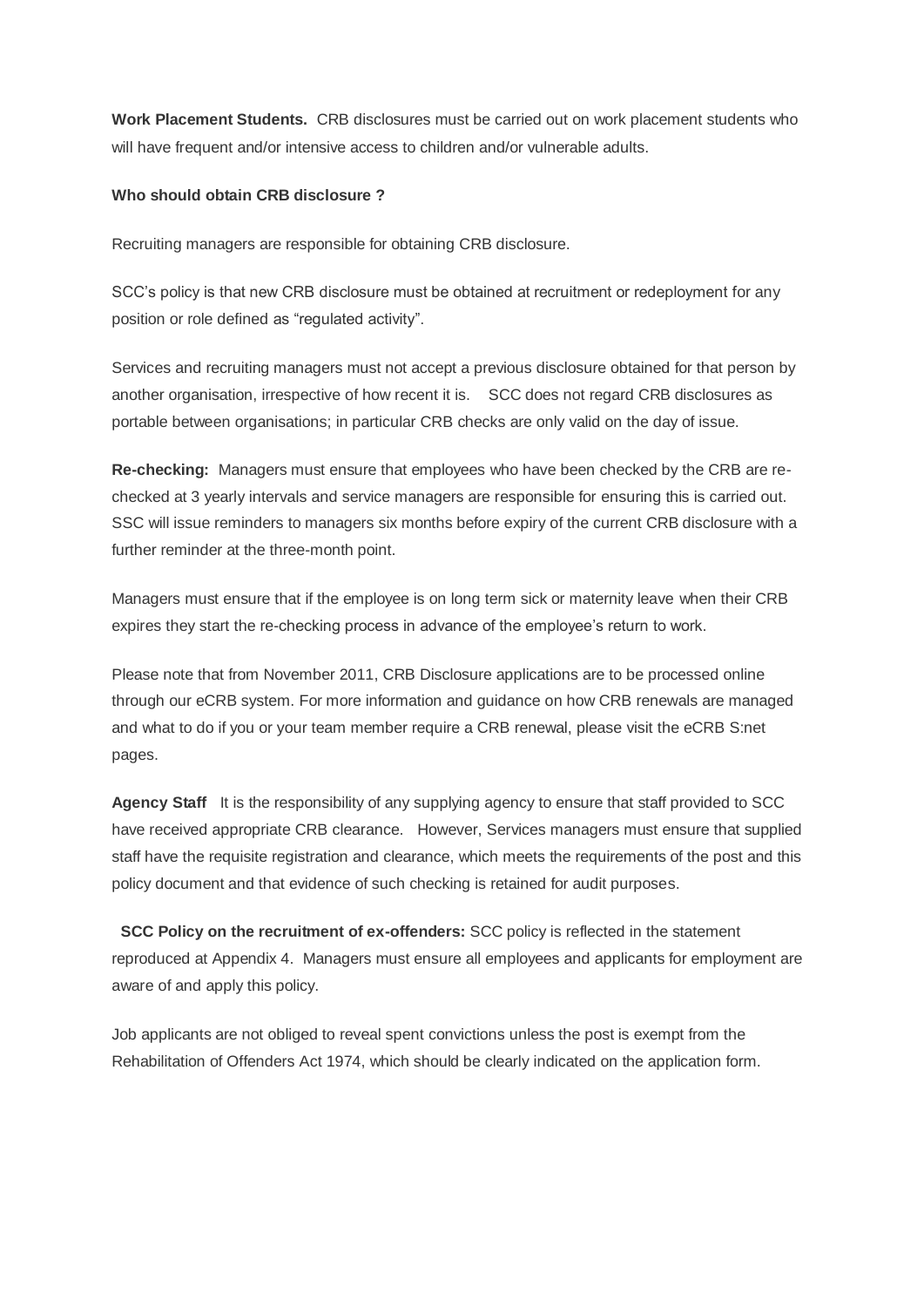**Work Placement Students.** CRB disclosures must be carried out on work placement students who will have frequent and/or intensive access to children and/or vulnerable adults.

## **Who should obtain CRB disclosure ?**

Recruiting managers are responsible for obtaining CRB disclosure.

SCC"s policy is that new CRB disclosure must be obtained at recruitment or redeployment for any position or role defined as "regulated activity".

Services and recruiting managers must not accept a previous disclosure obtained for that person by another organisation, irrespective of how recent it is. SCC does not regard CRB disclosures as portable between organisations; in particular CRB checks are only valid on the day of issue.

**Re-checking:** Managers must ensure that employees who have been checked by the CRB are rechecked at 3 yearly intervals and service managers are responsible for ensuring this is carried out. SSC will issue reminders to managers six months before expiry of the current CRB disclosure with a further reminder at the three-month point.

Managers must ensure that if the employee is on long term sick or maternity leave when their CRB expires they start the re-checking process in advance of the employee's return to work.

Please note that from November 2011, CRB Disclosure applications are to be processed online through our eCRB system. For more information and guidance on how CRB renewals are managed and what to do if you or your team member require a CRB renewal, please visit the eCRB S:net pages.

**Agency Staff** It is the responsibility of any supplying agency to ensure that staff provided to SCC have received appropriate CRB clearance. However, Services managers must ensure that supplied staff have the requisite registration and clearance, which meets the requirements of the post and this policy document and that evidence of such checking is retained for audit purposes.

 **SCC Policy on the recruitment of ex-offenders:** SCC policy is reflected in the statement reproduced at Appendix 4. Managers must ensure all employees and applicants for employment are aware of and apply this policy.

Job applicants are not obliged to reveal spent convictions unless the post is exempt from the Rehabilitation of Offenders Act 1974, which should be clearly indicated on the application form.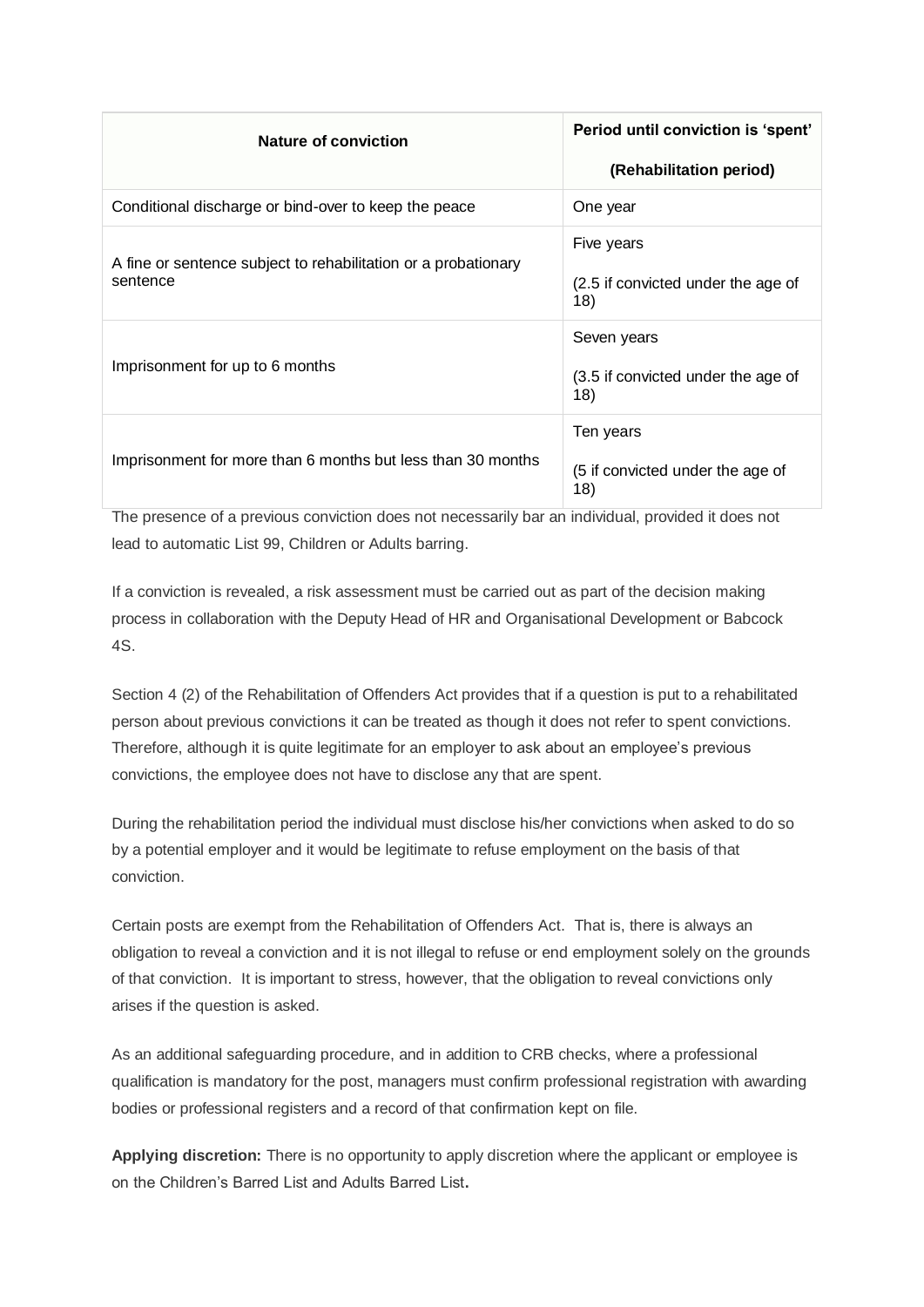| <b>Nature of conviction</b>                                                | Period until conviction is 'spent'<br>(Rehabilitation period) |
|----------------------------------------------------------------------------|---------------------------------------------------------------|
| Conditional discharge or bind-over to keep the peace                       | One year                                                      |
| A fine or sentence subject to rehabilitation or a probationary<br>sentence | Five years<br>(2.5 if convicted under the age of<br>18)       |
| Imprisonment for up to 6 months                                            | Seven years<br>(3.5 if convicted under the age of<br>18)      |
| Imprisonment for more than 6 months but less than 30 months                | Ten years<br>(5 if convicted under the age of<br>18)          |

The presence of a previous conviction does not necessarily bar an individual, provided it does not lead to automatic List 99, Children or Adults barring.

If a conviction is revealed, a risk assessment must be carried out as part of the decision making process in collaboration with the Deputy Head of HR and Organisational Development or Babcock 4S.

Section 4 (2) of the Rehabilitation of Offenders Act provides that if a question is put to a rehabilitated person about previous convictions it can be treated as though it does not refer to spent convictions. Therefore, although it is quite legitimate for an employer to ask about an employee's previous convictions, the employee does not have to disclose any that are spent.

During the rehabilitation period the individual must disclose his/her convictions when asked to do so by a potential employer and it would be legitimate to refuse employment on the basis of that conviction.

Certain posts are exempt from the Rehabilitation of Offenders Act. That is, there is always an obligation to reveal a conviction and it is not illegal to refuse or end employment solely on the grounds of that conviction. It is important to stress, however, that the obligation to reveal convictions only arises if the question is asked.

As an additional safeguarding procedure, and in addition to CRB checks, where a professional qualification is mandatory for the post, managers must confirm professional registration with awarding bodies or professional registers and a record of that confirmation kept on file.

**Applying discretion:** There is no opportunity to apply discretion where the applicant or employee is on the Children"s Barred List and Adults Barred List**.**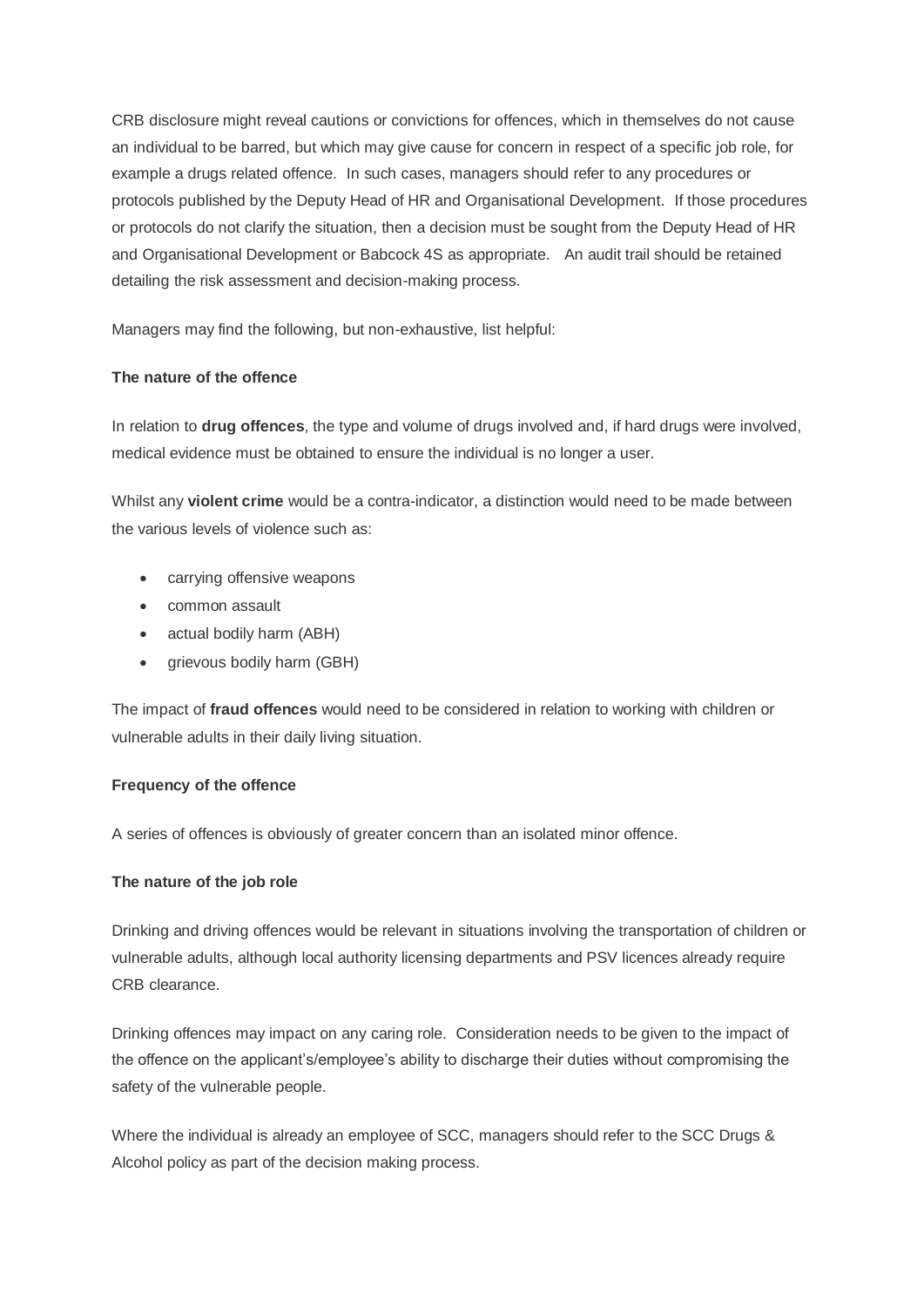CRB disclosure might reveal cautions or convictions for offences, which in themselves do not cause an individual to be barred, but which may give cause for concern in respect of a specific job role, for example a drugs related offence. In such cases, managers should refer to any procedures or protocols published by the Deputy Head of HR and Organisational Development. If those procedures or protocols do not clarify the situation, then a decision must be sought from the Deputy Head of HR and Organisational Development or Babcock 4S as appropriate. An audit trail should be retained detailing the risk assessment and decision-making process.

Managers may find the following, but non-exhaustive, list helpful:

## **The nature of the offence**

In relation to **drug offences**, the type and volume of drugs involved and, if hard drugs were involved, medical evidence must be obtained to ensure the individual is no longer a user.

Whilst any **violent crime** would be a contra-indicator, a distinction would need to be made between the various levels of violence such as:

- carrying offensive weapons
- common assault
- actual bodily harm (ABH)
- grievous bodily harm (GBH)

The impact of **fraud offences** would need to be considered in relation to working with children or vulnerable adults in their daily living situation.

## **Frequency of the offence**

A series of offences is obviously of greater concern than an isolated minor offence.

## **The nature of the job role**

Drinking and driving offences would be relevant in situations involving the transportation of children or vulnerable adults, although local authority licensing departments and PSV licences already require CRB clearance.

Drinking offences may impact on any caring role. Consideration needs to be given to the impact of the offence on the applicant's/employee's ability to discharge their duties without compromising the safety of the vulnerable people.

Where the individual is already an employee of SCC, managers should refer to the SCC Drugs & Alcohol policy as part of the decision making process.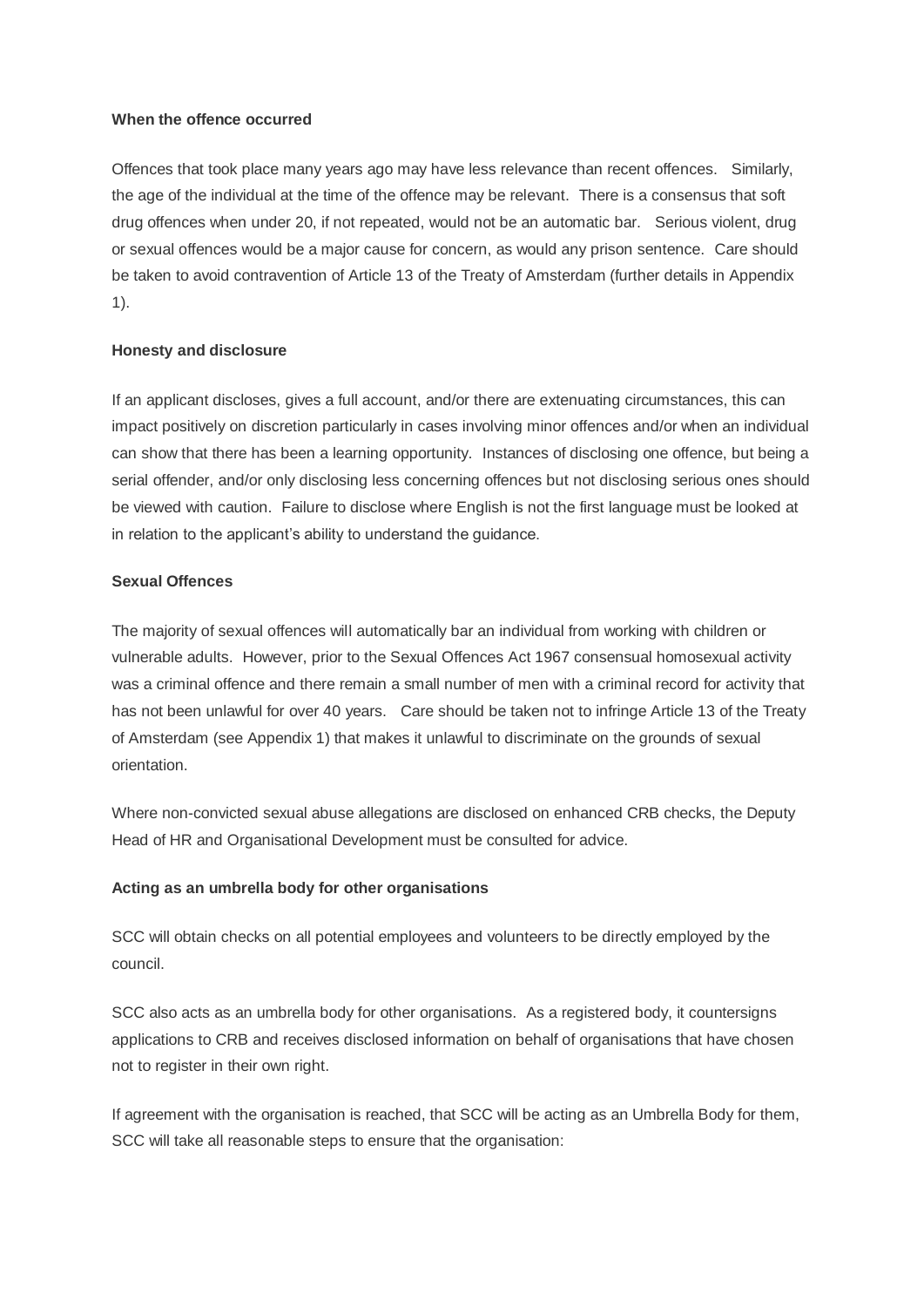#### **When the offence occurred**

Offences that took place many years ago may have less relevance than recent offences. Similarly, the age of the individual at the time of the offence may be relevant. There is a consensus that soft drug offences when under 20, if not repeated, would not be an automatic bar. Serious violent, drug or sexual offences would be a major cause for concern, as would any prison sentence. Care should be taken to avoid contravention of Article 13 of the Treaty of Amsterdam (further details in Appendix 1).

#### **Honesty and disclosure**

If an applicant discloses, gives a full account, and/or there are extenuating circumstances, this can impact positively on discretion particularly in cases involving minor offences and/or when an individual can show that there has been a learning opportunity. Instances of disclosing one offence, but being a serial offender, and/or only disclosing less concerning offences but not disclosing serious ones should be viewed with caution. Failure to disclose where English is not the first language must be looked at in relation to the applicant's ability to understand the guidance.

#### **Sexual Offences**

The majority of sexual offences will automatically bar an individual from working with children or vulnerable adults. However, prior to the Sexual Offences Act 1967 consensual homosexual activity was a criminal offence and there remain a small number of men with a criminal record for activity that has not been unlawful for over 40 years. Care should be taken not to infringe Article 13 of the Treaty of Amsterdam (see Appendix 1) that makes it unlawful to discriminate on the grounds of sexual orientation.

Where non-convicted sexual abuse allegations are disclosed on enhanced CRB checks, the Deputy Head of HR and Organisational Development must be consulted for advice.

#### **Acting as an umbrella body for other organisations**

SCC will obtain checks on all potential employees and volunteers to be directly employed by the council.

SCC also acts as an umbrella body for other organisations. As a registered body, it countersigns applications to CRB and receives disclosed information on behalf of organisations that have chosen not to register in their own right.

If agreement with the organisation is reached, that SCC will be acting as an Umbrella Body for them, SCC will take all reasonable steps to ensure that the organisation: